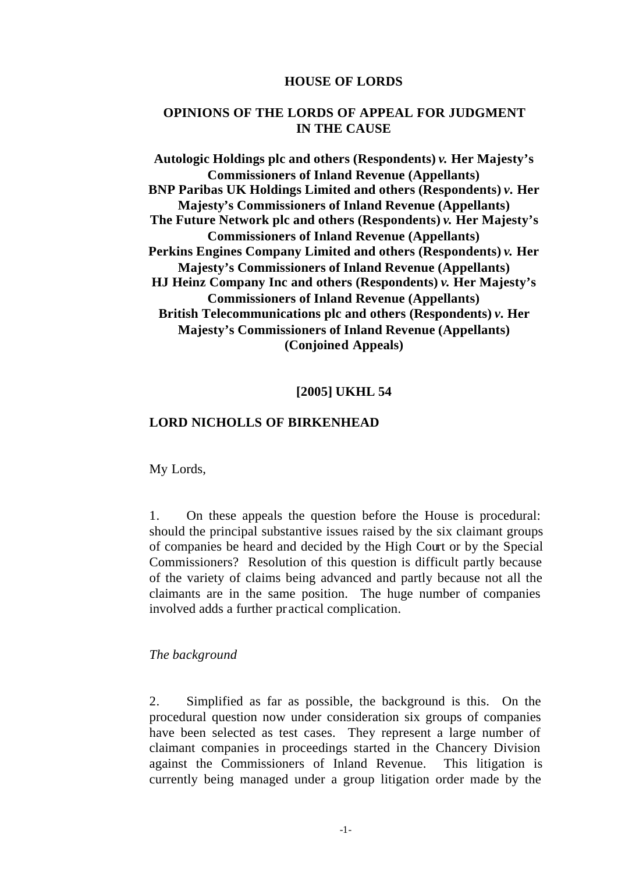#### **HOUSE OF LORDS**

# **OPINIONS OF THE LORDS OF APPEAL FOR JUDGMENT IN THE CAUSE**

**Autologic Holdings plc and others (Respondents)** *v.* **Her Majesty's Commissioners of Inland Revenue (Appellants) BNP Paribas UK Holdings Limited and others (Respondents)** *v.* **Her Majesty's Commissioners of Inland Revenue (Appellants) The Future Network plc and others (Respondents)** *v.* **Her Majesty's Commissioners of Inland Revenue (Appellants) Perkins Engines Company Limited and others (Respondents)** *v.* **Her Majesty's Commissioners of Inland Revenue (Appellants) HJ Heinz Company Inc and others (Respondents)** *v.* **Her Majesty's Commissioners of Inland Revenue (Appellants) British Telecommunications plc and others (Respondents)** *v.* **Her Majesty's Commissioners of Inland Revenue (Appellants) (Conjoined Appeals)**

#### **[2005] UKHL 54**

#### **LORD NICHOLLS OF BIRKENHEAD**

My Lords,

1. On these appeals the question before the House is procedural: should the principal substantive issues raised by the six claimant groups of companies be heard and decided by the High Court or by the Special Commissioners? Resolution of this question is difficult partly because of the variety of claims being advanced and partly because not all the claimants are in the same position. The huge number of companies involved adds a further pr actical complication.

#### *The background*

2. Simplified as far as possible, the background is this. On the procedural question now under consideration six groups of companies have been selected as test cases. They represent a large number of claimant companies in proceedings started in the Chancery Division against the Commissioners of Inland Revenue. This litigation is currently being managed under a group litigation order made by the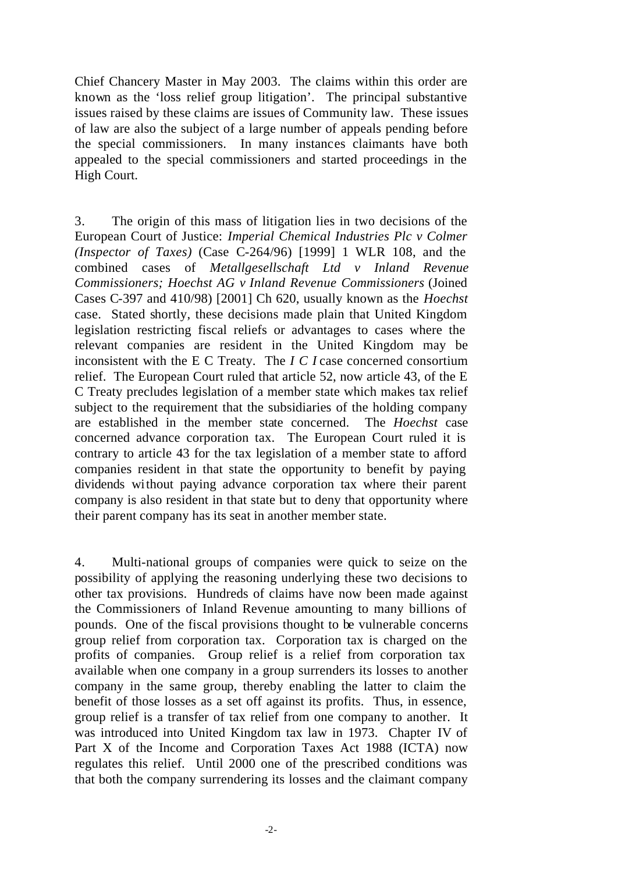Chief Chancery Master in May 2003. The claims within this order are known as the 'loss relief group litigation'. The principal substantive issues raised by these claims are issues of Community law. These issues of law are also the subject of a large number of appeals pending before the special commissioners. In many instances claimants have both appealed to the special commissioners and started proceedings in the High Court.

3. The origin of this mass of litigation lies in two decisions of the European Court of Justice: *Imperial Chemical Industries Plc v Colmer (Inspector of Taxes)* (Case C-264/96) [1999] 1 WLR 108, and the combined cases of *Metallgesellschaft Ltd v Inland Revenue Commissioners; Hoechst AG v Inland Revenue Commissioners* (Joined Cases C-397 and 410/98) [2001] Ch 620, usually known as the *Hoechst* case. Stated shortly, these decisions made plain that United Kingdom legislation restricting fiscal reliefs or advantages to cases where the relevant companies are resident in the United Kingdom may be inconsistent with the E C Treaty. The *I C I* case concerned consortium relief. The European Court ruled that article 52, now article 43, of the E C Treaty precludes legislation of a member state which makes tax relief subject to the requirement that the subsidiaries of the holding company are established in the member state concerned. The *Hoechst* case concerned advance corporation tax. The European Court ruled it is contrary to article 43 for the tax legislation of a member state to afford companies resident in that state the opportunity to benefit by paying dividends without paying advance corporation tax where their parent company is also resident in that state but to deny that opportunity where their parent company has its seat in another member state.

4. Multi-national groups of companies were quick to seize on the possibility of applying the reasoning underlying these two decisions to other tax provisions. Hundreds of claims have now been made against the Commissioners of Inland Revenue amounting to many billions of pounds. One of the fiscal provisions thought to be vulnerable concerns group relief from corporation tax. Corporation tax is charged on the profits of companies. Group relief is a relief from corporation tax available when one company in a group surrenders its losses to another company in the same group, thereby enabling the latter to claim the benefit of those losses as a set off against its profits. Thus, in essence, group relief is a transfer of tax relief from one company to another. It was introduced into United Kingdom tax law in 1973. Chapter IV of Part X of the Income and Corporation Taxes Act 1988 (ICTA) now regulates this relief. Until 2000 one of the prescribed conditions was that both the company surrendering its losses and the claimant company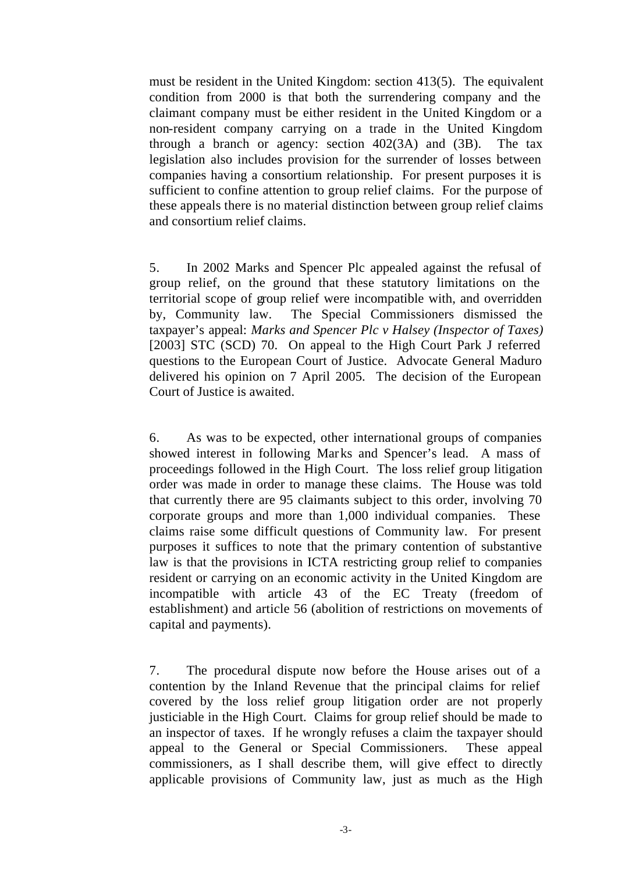must be resident in the United Kingdom: section 413(5). The equivalent condition from 2000 is that both the surrendering company and the claimant company must be either resident in the United Kingdom or a non-resident company carrying on a trade in the United Kingdom through a branch or agency: section  $402(3)$  and  $(3)$ . The tax legislation also includes provision for the surrender of losses between companies having a consortium relationship. For present purposes it is sufficient to confine attention to group relief claims. For the purpose of these appeals there is no material distinction between group relief claims and consortium relief claims.

5. In 2002 Marks and Spencer Plc appealed against the refusal of group relief, on the ground that these statutory limitations on the territorial scope of group relief were incompatible with, and overridden by, Community law. The Special Commissioners dismissed the taxpayer's appeal: *Marks and Spencer Plc v Halsey (Inspector of Taxes)* [2003] STC (SCD) 70. On appeal to the High Court Park J referred questions to the European Court of Justice. Advocate General Maduro delivered his opinion on 7 April 2005. The decision of the European Court of Justice is awaited.

6. As was to be expected, other international groups of companies showed interest in following Marks and Spencer's lead. A mass of proceedings followed in the High Court. The loss relief group litigation order was made in order to manage these claims. The House was told that currently there are 95 claimants subject to this order, involving 70 corporate groups and more than 1,000 individual companies. These claims raise some difficult questions of Community law. For present purposes it suffices to note that the primary contention of substantive law is that the provisions in ICTA restricting group relief to companies resident or carrying on an economic activity in the United Kingdom are incompatible with article 43 of the EC Treaty (freedom of establishment) and article 56 (abolition of restrictions on movements of capital and payments).

7. The procedural dispute now before the House arises out of a contention by the Inland Revenue that the principal claims for relief covered by the loss relief group litigation order are not properly justiciable in the High Court. Claims for group relief should be made to an inspector of taxes. If he wrongly refuses a claim the taxpayer should appeal to the General or Special Commissioners. These appeal commissioners, as I shall describe them, will give effect to directly applicable provisions of Community law, just as much as the High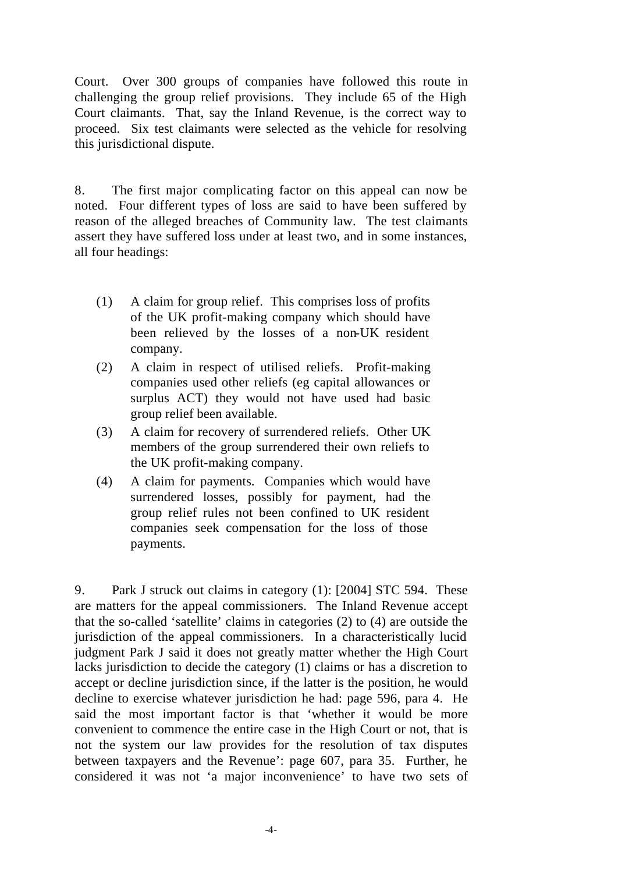Court. Over 300 groups of companies have followed this route in challenging the group relief provisions. They include 65 of the High Court claimants. That, say the Inland Revenue, is the correct way to proceed. Six test claimants were selected as the vehicle for resolving this jurisdictional dispute.

8. The first major complicating factor on this appeal can now be noted. Four different types of loss are said to have been suffered by reason of the alleged breaches of Community law. The test claimants assert they have suffered loss under at least two, and in some instances, all four headings:

- (1) A claim for group relief. This comprises loss of profits of the UK profit-making company which should have been relieved by the losses of a non-UK resident company.
- (2) A claim in respect of utilised reliefs. Profit-making companies used other reliefs (eg capital allowances or surplus ACT) they would not have used had basic group relief been available.
- (3) A claim for recovery of surrendered reliefs. Other UK members of the group surrendered their own reliefs to the UK profit-making company.
- (4) A claim for payments. Companies which would have surrendered losses, possibly for payment, had the group relief rules not been confined to UK resident companies seek compensation for the loss of those payments.

9. Park J struck out claims in category (1): [2004] STC 594. These are matters for the appeal commissioners. The Inland Revenue accept that the so-called 'satellite' claims in categories (2) to (4) are outside the jurisdiction of the appeal commissioners. In a characteristically lucid judgment Park J said it does not greatly matter whether the High Court lacks jurisdiction to decide the category (1) claims or has a discretion to accept or decline jurisdiction since, if the latter is the position, he would decline to exercise whatever jurisdiction he had: page 596, para 4. He said the most important factor is that 'whether it would be more convenient to commence the entire case in the High Court or not, that is not the system our law provides for the resolution of tax disputes between taxpayers and the Revenue': page 607, para 35. Further, he considered it was not 'a major inconvenience' to have two sets of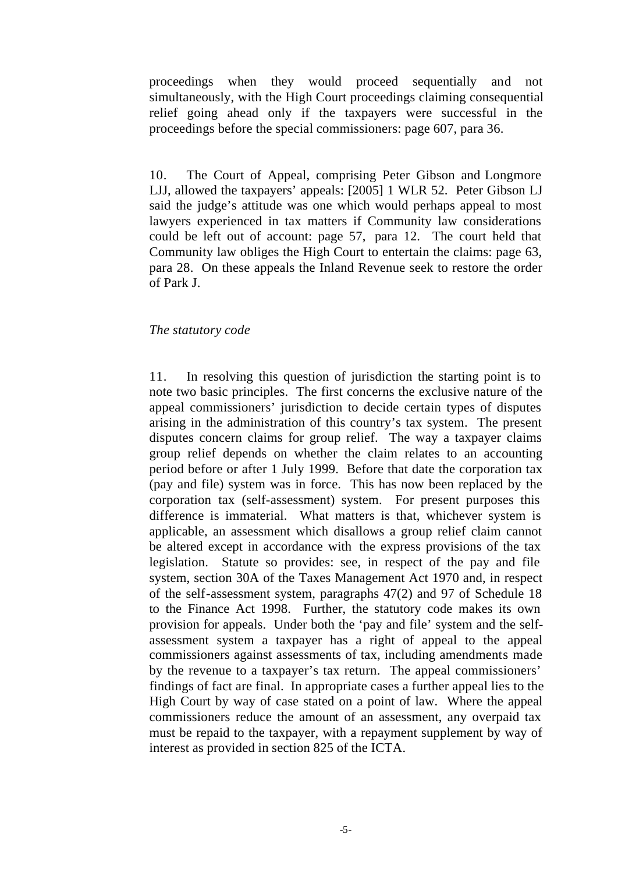proceedings when they would proceed sequentially and not simultaneously, with the High Court proceedings claiming consequential relief going ahead only if the taxpayers were successful in the proceedings before the special commissioners: page 607, para 36.

10. The Court of Appeal, comprising Peter Gibson and Longmore LJJ, allowed the taxpayers' appeals: [2005] 1 WLR 52. Peter Gibson LJ said the judge's attitude was one which would perhaps appeal to most lawyers experienced in tax matters if Community law considerations could be left out of account: page 57, para 12. The court held that Community law obliges the High Court to entertain the claims: page 63, para 28. On these appeals the Inland Revenue seek to restore the order of Park J.

#### *The statutory code*

11. In resolving this question of jurisdiction the starting point is to note two basic principles. The first concerns the exclusive nature of the appeal commissioners' jurisdiction to decide certain types of disputes arising in the administration of this country's tax system. The present disputes concern claims for group relief. The way a taxpayer claims group relief depends on whether the claim relates to an accounting period before or after 1 July 1999. Before that date the corporation tax (pay and file) system was in force. This has now been replaced by the corporation tax (self-assessment) system. For present purposes this difference is immaterial. What matters is that, whichever system is applicable, an assessment which disallows a group relief claim cannot be altered except in accordance with the express provisions of the tax legislation. Statute so provides: see, in respect of the pay and file system, section 30A of the Taxes Management Act 1970 and, in respect of the self-assessment system, paragraphs 47(2) and 97 of Schedule 18 to the Finance Act 1998. Further, the statutory code makes its own provision for appeals. Under both the 'pay and file' system and the selfassessment system a taxpayer has a right of appeal to the appeal commissioners against assessments of tax, including amendments made by the revenue to a taxpayer's tax return. The appeal commissioners' findings of fact are final. In appropriate cases a further appeal lies to the High Court by way of case stated on a point of law. Where the appeal commissioners reduce the amount of an assessment, any overpaid tax must be repaid to the taxpayer, with a repayment supplement by way of interest as provided in section 825 of the ICTA.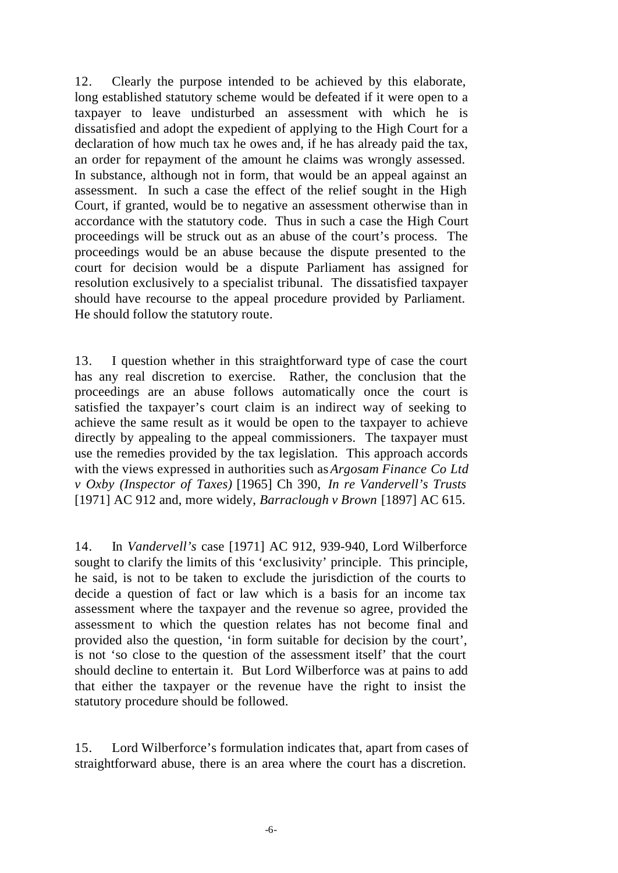12. Clearly the purpose intended to be achieved by this elaborate, long established statutory scheme would be defeated if it were open to a taxpayer to leave undisturbed an assessment with which he is dissatisfied and adopt the expedient of applying to the High Court for a declaration of how much tax he owes and, if he has already paid the tax, an order for repayment of the amount he claims was wrongly assessed. In substance, although not in form, that would be an appeal against an assessment. In such a case the effect of the relief sought in the High Court, if granted, would be to negative an assessment otherwise than in accordance with the statutory code. Thus in such a case the High Court proceedings will be struck out as an abuse of the court's process. The proceedings would be an abuse because the dispute presented to the court for decision would be a dispute Parliament has assigned for resolution exclusively to a specialist tribunal. The dissatisfied taxpayer should have recourse to the appeal procedure provided by Parliament. He should follow the statutory route.

13. I question whether in this straightforward type of case the court has any real discretion to exercise. Rather, the conclusion that the proceedings are an abuse follows automatically once the court is satisfied the taxpayer's court claim is an indirect way of seeking to achieve the same result as it would be open to the taxpayer to achieve directly by appealing to the appeal commissioners. The taxpayer must use the remedies provided by the tax legislation. This approach accords with the views expressed in authorities such as *Argosam Finance Co Ltd v Oxby (Inspector of Taxes)* [1965] Ch 390, *In re Vandervell's Trusts*  [1971] AC 912 and, more widely, *Barraclough v Brown* [1897] AC 615.

14. In *Vandervell's* case [1971] AC 912, 939-940, Lord Wilberforce sought to clarify the limits of this 'exclusivity' principle. This principle, he said, is not to be taken to exclude the jurisdiction of the courts to decide a question of fact or law which is a basis for an income tax assessment where the taxpayer and the revenue so agree, provided the assessment to which the question relates has not become final and provided also the question, 'in form suitable for decision by the court', is not 'so close to the question of the assessment itself' that the court should decline to entertain it. But Lord Wilberforce was at pains to add that either the taxpayer or the revenue have the right to insist the statutory procedure should be followed.

15. Lord Wilberforce's formulation indicates that, apart from cases of straightforward abuse, there is an area where the court has a discretion.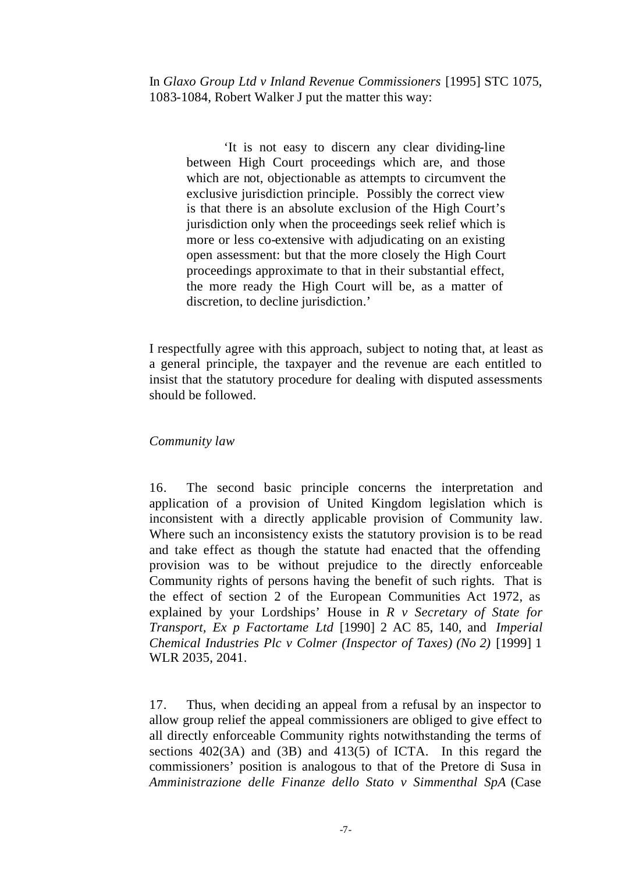In *Glaxo Group Ltd v Inland Revenue Commissioners* [1995] STC 1075, 1083-1084, Robert Walker J put the matter this way:

'It is not easy to discern any clear dividing-line between High Court proceedings which are, and those which are not, objectionable as attempts to circumvent the exclusive jurisdiction principle. Possibly the correct view is that there is an absolute exclusion of the High Court's jurisdiction only when the proceedings seek relief which is more or less co-extensive with adjudicating on an existing open assessment: but that the more closely the High Court proceedings approximate to that in their substantial effect, the more ready the High Court will be, as a matter of discretion, to decline jurisdiction.'

I respectfully agree with this approach, subject to noting that, at least as a general principle, the taxpayer and the revenue are each entitled to insist that the statutory procedure for dealing with disputed assessments should be followed.

#### *Community law*

16. The second basic principle concerns the interpretation and application of a provision of United Kingdom legislation which is inconsistent with a directly applicable provision of Community law. Where such an inconsistency exists the statutory provision is to be read and take effect as though the statute had enacted that the offending provision was to be without prejudice to the directly enforceable Community rights of persons having the benefit of such rights. That is the effect of section 2 of the European Communities Act 1972, as explained by your Lordships' House in *R v Secretary of State for Transport, Ex p Factortame Ltd* [1990] 2 AC 85, 140, and *Imperial Chemical Industries Plc v Colmer (Inspector of Taxes) (No 2)* [1999] 1 WLR 2035, 2041.

17. Thus, when deciding an appeal from a refusal by an inspector to allow group relief the appeal commissioners are obliged to give effect to all directly enforceable Community rights notwithstanding the terms of sections 402(3A) and (3B) and 413(5) of ICTA. In this regard the commissioners' position is analogous to that of the Pretore di Susa in *Amministrazione delle Finanze dello Stato v Simmenthal SpA* (Case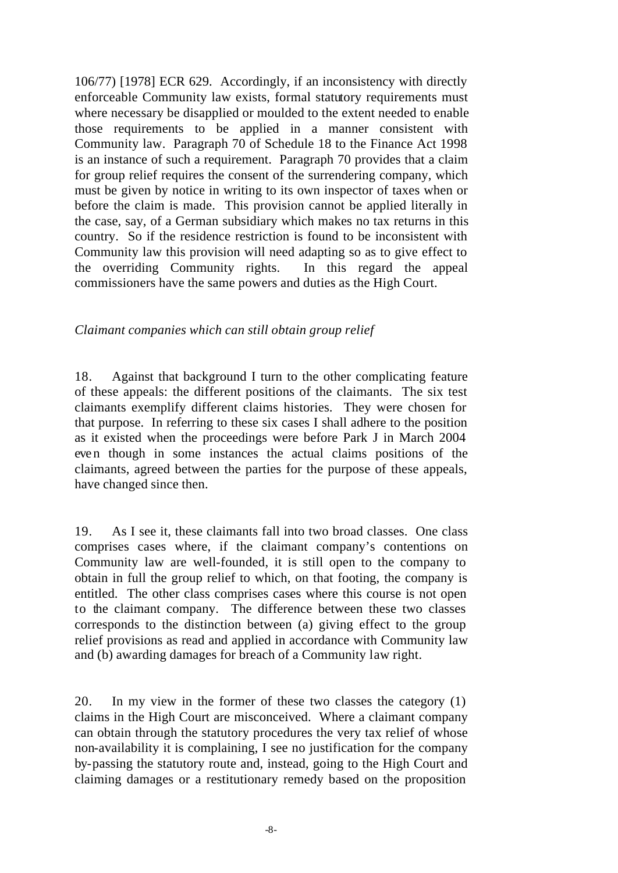106/77) [1978] ECR 629. Accordingly, if an inconsistency with directly enforceable Community law exists, formal statutory requirements must where necessary be disapplied or moulded to the extent needed to enable those requirements to be applied in a manner consistent with Community law. Paragraph 70 of Schedule 18 to the Finance Act 1998 is an instance of such a requirement. Paragraph 70 provides that a claim for group relief requires the consent of the surrendering company, which must be given by notice in writing to its own inspector of taxes when or before the claim is made. This provision cannot be applied literally in the case, say, of a German subsidiary which makes no tax returns in this country. So if the residence restriction is found to be inconsistent with Community law this provision will need adapting so as to give effect to the overriding Community rights. In this regard the appeal commissioners have the same powers and duties as the High Court.

### *Claimant companies which can still obtain group relief*

18. Against that background I turn to the other complicating feature of these appeals: the different positions of the claimants. The six test claimants exemplify different claims histories. They were chosen for that purpose. In referring to these six cases I shall adhere to the position as it existed when the proceedings were before Park J in March 2004 even though in some instances the actual claims positions of the claimants, agreed between the parties for the purpose of these appeals, have changed since then.

19. As I see it, these claimants fall into two broad classes. One class comprises cases where, if the claimant company's contentions on Community law are well-founded, it is still open to the company to obtain in full the group relief to which, on that footing, the company is entitled. The other class comprises cases where this course is not open to the claimant company. The difference between these two classes corresponds to the distinction between (a) giving effect to the group relief provisions as read and applied in accordance with Community law and (b) awarding damages for breach of a Community law right.

20. In my view in the former of these two classes the category (1) claims in the High Court are misconceived. Where a claimant company can obtain through the statutory procedures the very tax relief of whose non-availability it is complaining, I see no justification for the company by-passing the statutory route and, instead, going to the High Court and claiming damages or a restitutionary remedy based on the proposition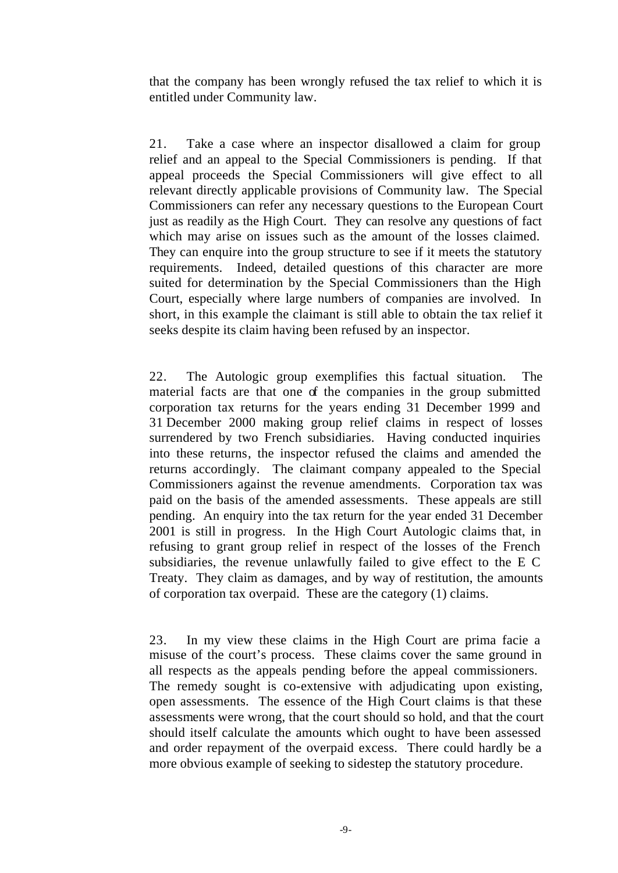that the company has been wrongly refused the tax relief to which it is entitled under Community law.

21. Take a case where an inspector disallowed a claim for group relief and an appeal to the Special Commissioners is pending. If that appeal proceeds the Special Commissioners will give effect to all relevant directly applicable provisions of Community law. The Special Commissioners can refer any necessary questions to the European Court just as readily as the High Court. They can resolve any questions of fact which may arise on issues such as the amount of the losses claimed. They can enquire into the group structure to see if it meets the statutory requirements. Indeed, detailed questions of this character are more suited for determination by the Special Commissioners than the High Court, especially where large numbers of companies are involved. In short, in this example the claimant is still able to obtain the tax relief it seeks despite its claim having been refused by an inspector.

22. The Autologic group exemplifies this factual situation. The material facts are that one of the companies in the group submitted corporation tax returns for the years ending 31 December 1999 and 31 December 2000 making group relief claims in respect of losses surrendered by two French subsidiaries. Having conducted inquiries into these returns, the inspector refused the claims and amended the returns accordingly. The claimant company appealed to the Special Commissioners against the revenue amendments. Corporation tax was paid on the basis of the amended assessments. These appeals are still pending. An enquiry into the tax return for the year ended 31 December 2001 is still in progress. In the High Court Autologic claims that, in refusing to grant group relief in respect of the losses of the French subsidiaries, the revenue unlawfully failed to give effect to the E C Treaty. They claim as damages, and by way of restitution, the amounts of corporation tax overpaid. These are the category (1) claims.

23. In my view these claims in the High Court are prima facie a misuse of the court's process. These claims cover the same ground in all respects as the appeals pending before the appeal commissioners. The remedy sought is co-extensive with adjudicating upon existing, open assessments. The essence of the High Court claims is that these assessments were wrong, that the court should so hold, and that the court should itself calculate the amounts which ought to have been assessed and order repayment of the overpaid excess. There could hardly be a more obvious example of seeking to sidestep the statutory procedure.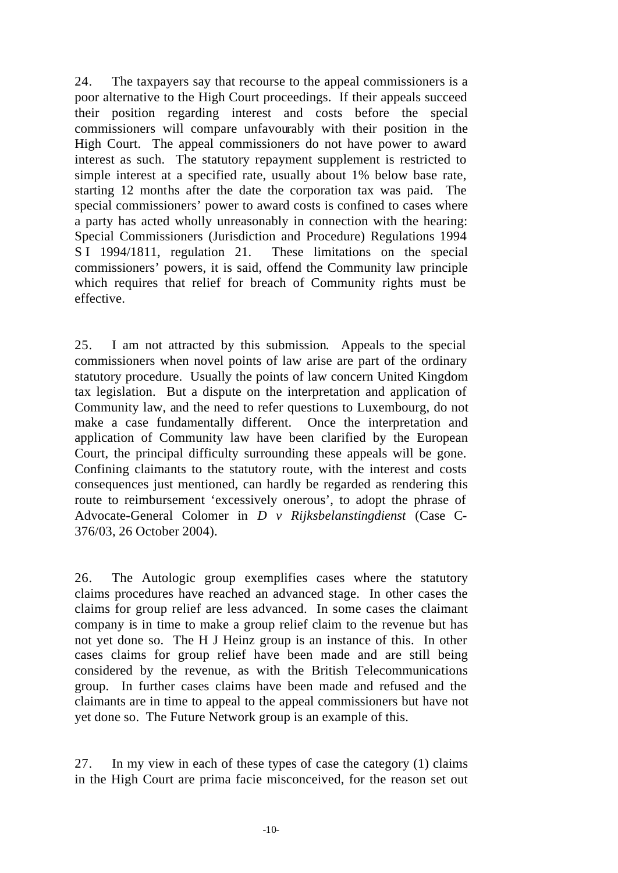24. The taxpayers say that recourse to the appeal commissioners is a poor alternative to the High Court proceedings. If their appeals succeed their position regarding interest and costs before the special commissioners will compare unfavourably with their position in the High Court. The appeal commissioners do not have power to award interest as such. The statutory repayment supplement is restricted to simple interest at a specified rate, usually about 1% below base rate, starting 12 months after the date the corporation tax was paid. The special commissioners' power to award costs is confined to cases where a party has acted wholly unreasonably in connection with the hearing: Special Commissioners (Jurisdiction and Procedure) Regulations 1994 S I 1994/1811, regulation 21. These limitations on the special commissioners' powers, it is said, offend the Community law principle which requires that relief for breach of Community rights must be effective.

25. I am not attracted by this submission. Appeals to the special commissioners when novel points of law arise are part of the ordinary statutory procedure. Usually the points of law concern United Kingdom tax legislation. But a dispute on the interpretation and application of Community law, and the need to refer questions to Luxembourg, do not make a case fundamentally different. Once the interpretation and application of Community law have been clarified by the European Court, the principal difficulty surrounding these appeals will be gone. Confining claimants to the statutory route, with the interest and costs consequences just mentioned, can hardly be regarded as rendering this route to reimbursement 'excessively onerous', to adopt the phrase of Advocate-General Colomer in *D v Rijksbelanstingdienst* (Case C-376/03, 26 October 2004).

26. The Autologic group exemplifies cases where the statutory claims procedures have reached an advanced stage. In other cases the claims for group relief are less advanced. In some cases the claimant company is in time to make a group relief claim to the revenue but has not yet done so. The H J Heinz group is an instance of this. In other cases claims for group relief have been made and are still being considered by the revenue, as with the British Telecommunications group. In further cases claims have been made and refused and the claimants are in time to appeal to the appeal commissioners but have not yet done so. The Future Network group is an example of this.

27. In my view in each of these types of case the category (1) claims in the High Court are prima facie misconceived, for the reason set out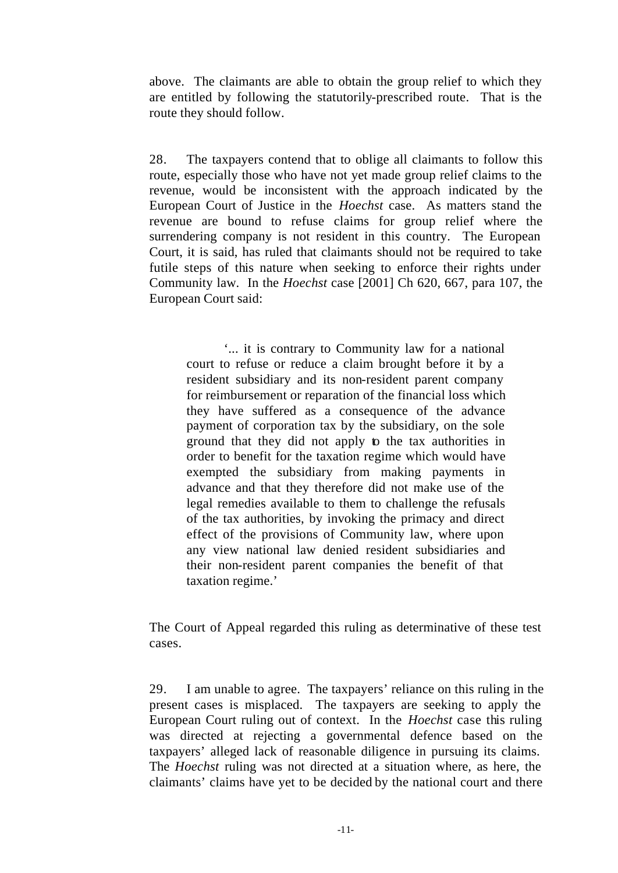above. The claimants are able to obtain the group relief to which they are entitled by following the statutorily-prescribed route. That is the route they should follow.

28. The taxpayers contend that to oblige all claimants to follow this route, especially those who have not yet made group relief claims to the revenue, would be inconsistent with the approach indicated by the European Court of Justice in the *Hoechst* case. As matters stand the revenue are bound to refuse claims for group relief where the surrendering company is not resident in this country. The European Court, it is said, has ruled that claimants should not be required to take futile steps of this nature when seeking to enforce their rights under Community law. In the *Hoechst* case [2001] Ch 620, 667, para 107, the European Court said:

'... it is contrary to Community law for a national court to refuse or reduce a claim brought before it by a resident subsidiary and its non-resident parent company for reimbursement or reparation of the financial loss which they have suffered as a consequence of the advance payment of corporation tax by the subsidiary, on the sole ground that they did not apply to the tax authorities in order to benefit for the taxation regime which would have exempted the subsidiary from making payments in advance and that they therefore did not make use of the legal remedies available to them to challenge the refusals of the tax authorities, by invoking the primacy and direct effect of the provisions of Community law, where upon any view national law denied resident subsidiaries and their non-resident parent companies the benefit of that taxation regime.'

The Court of Appeal regarded this ruling as determinative of these test cases.

29. I am unable to agree. The taxpayers' reliance on this ruling in the present cases is misplaced. The taxpayers are seeking to apply the European Court ruling out of context. In the *Hoechst* case this ruling was directed at rejecting a governmental defence based on the taxpayers' alleged lack of reasonable diligence in pursuing its claims. The *Hoechst* ruling was not directed at a situation where, as here, the claimants' claims have yet to be decided by the national court and there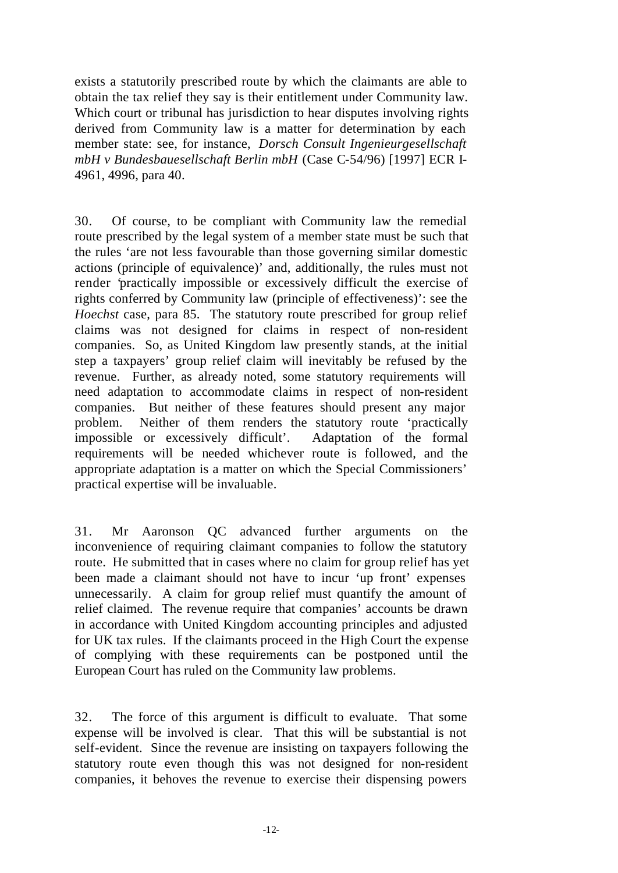exists a statutorily prescribed route by which the claimants are able to obtain the tax relief they say is their entitlement under Community law. Which court or tribunal has jurisdiction to hear disputes involving rights derived from Community law is a matter for determination by each member state: see, for instance, *Dorsch Consult Ingenieurgesellschaft mbH v Bundesbauesellschaft Berlin mbH* (Case C-54/96) [1997] ECR I-4961, 4996, para 40.

30. Of course, to be compliant with Community law the remedial route prescribed by the legal system of a member state must be such that the rules 'are not less favourable than those governing similar domestic actions (principle of equivalence)' and, additionally, the rules must not render 'practically impossible or excessively difficult the exercise of rights conferred by Community law (principle of effectiveness)': see the *Hoechst* case, para 85. The statutory route prescribed for group relief claims was not designed for claims in respect of non-resident companies. So, as United Kingdom law presently stands, at the initial step a taxpayers' group relief claim will inevitably be refused by the revenue. Further, as already noted, some statutory requirements will need adaptation to accommodate claims in respect of non-resident companies. But neither of these features should present any major problem. Neither of them renders the statutory route 'practically impossible or excessively difficult'. Adaptation of the formal requirements will be needed whichever route is followed, and the appropriate adaptation is a matter on which the Special Commissioners' practical expertise will be invaluable.

31. Mr Aaronson QC advanced further arguments on the inconvenience of requiring claimant companies to follow the statutory route. He submitted that in cases where no claim for group relief has yet been made a claimant should not have to incur 'up front' expenses unnecessarily. A claim for group relief must quantify the amount of relief claimed. The revenue require that companies' accounts be drawn in accordance with United Kingdom accounting principles and adjusted for UK tax rules. If the claimants proceed in the High Court the expense of complying with these requirements can be postponed until the European Court has ruled on the Community law problems.

32. The force of this argument is difficult to evaluate. That some expense will be involved is clear. That this will be substantial is not self-evident. Since the revenue are insisting on taxpayers following the statutory route even though this was not designed for non-resident companies, it behoves the revenue to exercise their dispensing powers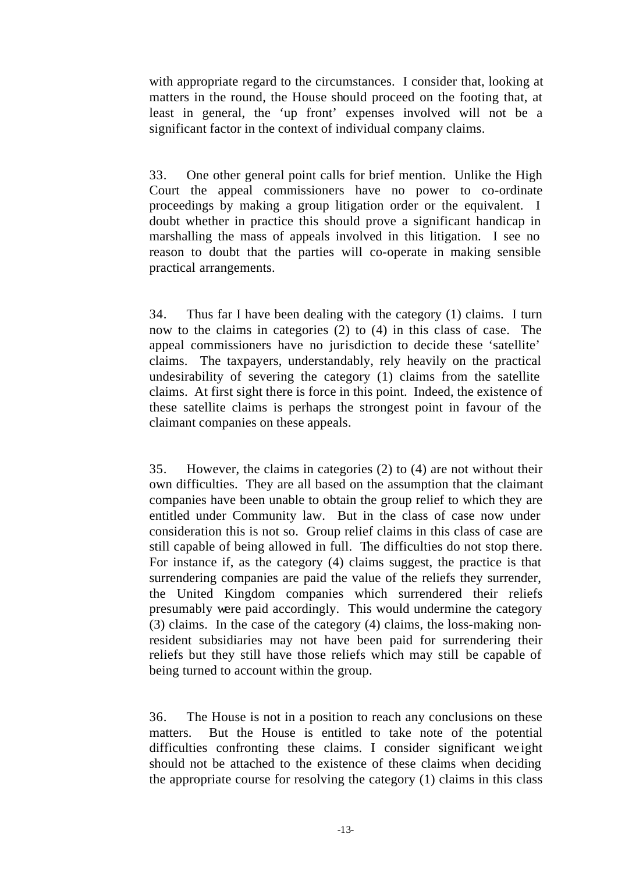with appropriate regard to the circumstances. I consider that, looking at matters in the round, the House should proceed on the footing that, at least in general, the 'up front' expenses involved will not be a significant factor in the context of individual company claims.

33. One other general point calls for brief mention. Unlike the High Court the appeal commissioners have no power to co-ordinate proceedings by making a group litigation order or the equivalent. I doubt whether in practice this should prove a significant handicap in marshalling the mass of appeals involved in this litigation. I see no reason to doubt that the parties will co-operate in making sensible practical arrangements.

34. Thus far I have been dealing with the category (1) claims. I turn now to the claims in categories (2) to (4) in this class of case. The appeal commissioners have no jurisdiction to decide these 'satellite' claims. The taxpayers, understandably, rely heavily on the practical undesirability of severing the category (1) claims from the satellite claims. At first sight there is force in this point. Indeed, the existence of these satellite claims is perhaps the strongest point in favour of the claimant companies on these appeals.

35. However, the claims in categories (2) to (4) are not without their own difficulties. They are all based on the assumption that the claimant companies have been unable to obtain the group relief to which they are entitled under Community law. But in the class of case now under consideration this is not so. Group relief claims in this class of case are still capable of being allowed in full. The difficulties do not stop there. For instance if, as the category (4) claims suggest, the practice is that surrendering companies are paid the value of the reliefs they surrender, the United Kingdom companies which surrendered their reliefs presumably were paid accordingly. This would undermine the category (3) claims. In the case of the category (4) claims, the loss-making nonresident subsidiaries may not have been paid for surrendering their reliefs but they still have those reliefs which may still be capable of being turned to account within the group.

36. The House is not in a position to reach any conclusions on these matters. But the House is entitled to take note of the potential difficulties confronting these claims. I consider significant we ight should not be attached to the existence of these claims when deciding the appropriate course for resolving the category (1) claims in this class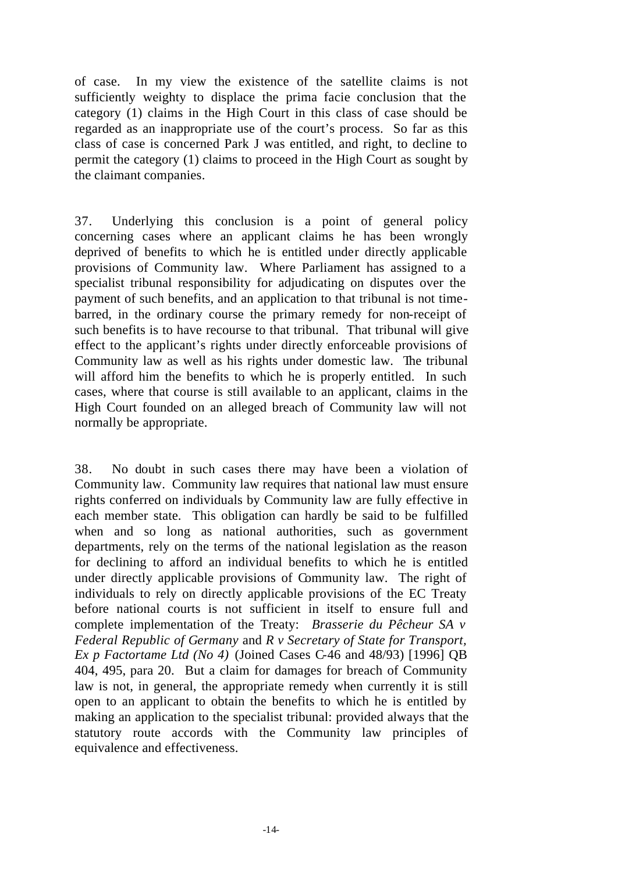of case. In my view the existence of the satellite claims is not sufficiently weighty to displace the prima facie conclusion that the category (1) claims in the High Court in this class of case should be regarded as an inappropriate use of the court's process. So far as this class of case is concerned Park J was entitled, and right, to decline to permit the category (1) claims to proceed in the High Court as sought by the claimant companies.

37. Underlying this conclusion is a point of general policy concerning cases where an applicant claims he has been wrongly deprived of benefits to which he is entitled under directly applicable provisions of Community law. Where Parliament has assigned to a specialist tribunal responsibility for adjudicating on disputes over the payment of such benefits, and an application to that tribunal is not timebarred, in the ordinary course the primary remedy for non-receipt of such benefits is to have recourse to that tribunal. That tribunal will give effect to the applicant's rights under directly enforceable provisions of Community law as well as his rights under domestic law. The tribunal will afford him the benefits to which he is properly entitled. In such cases, where that course is still available to an applicant, claims in the High Court founded on an alleged breach of Community law will not normally be appropriate.

38. No doubt in such cases there may have been a violation of Community law. Community law requires that national law must ensure rights conferred on individuals by Community law are fully effective in each member state. This obligation can hardly be said to be fulfilled when and so long as national authorities, such as government departments, rely on the terms of the national legislation as the reason for declining to afford an individual benefits to which he is entitled under directly applicable provisions of Community law. The right of individuals to rely on directly applicable provisions of the EC Treaty before national courts is not sufficient in itself to ensure full and complete implementation of the Treaty: *Brasserie du Pêcheur SA v Federal Republic of Germany* and *R v Secretary of State for Transport, Ex p Factortame Ltd (No 4)* (Joined Cases C-46 and 48/93) [1996] QB 404, 495, para 20. But a claim for damages for breach of Community law is not, in general, the appropriate remedy when currently it is still open to an applicant to obtain the benefits to which he is entitled by making an application to the specialist tribunal: provided always that the statutory route accords with the Community law principles of equivalence and effectiveness.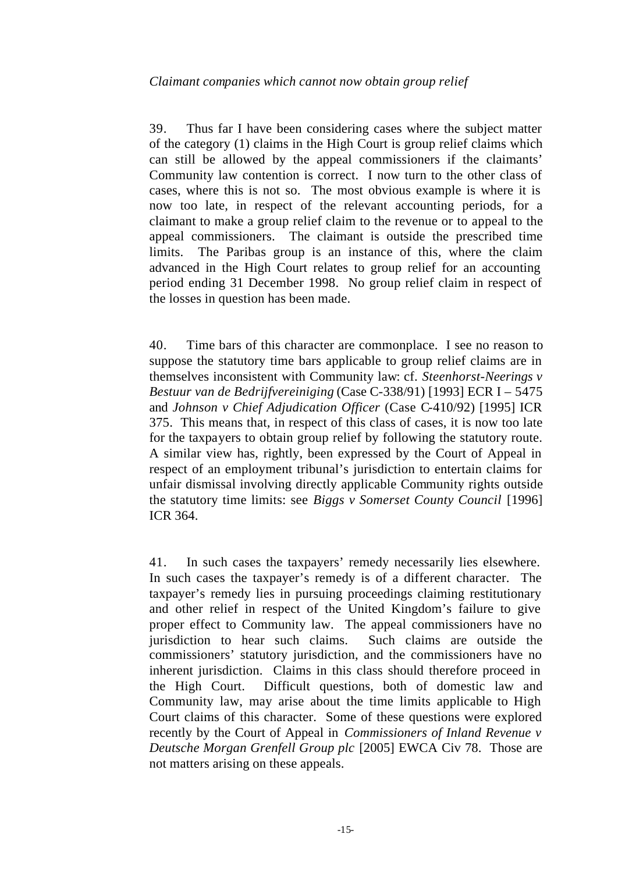39. Thus far I have been considering cases where the subject matter of the category (1) claims in the High Court is group relief claims which can still be allowed by the appeal commissioners if the claimants' Community law contention is correct. I now turn to the other class of cases, where this is not so. The most obvious example is where it is now too late, in respect of the relevant accounting periods, for a claimant to make a group relief claim to the revenue or to appeal to the appeal commissioners. The claimant is outside the prescribed time limits. The Paribas group is an instance of this, where the claim advanced in the High Court relates to group relief for an accounting period ending 31 December 1998. No group relief claim in respect of the losses in question has been made.

40. Time bars of this character are commonplace. I see no reason to suppose the statutory time bars applicable to group relief claims are in themselves inconsistent with Community law: cf. *Steenhorst-Neerings v Bestuur van de Bedrijfvereiniging* (Case C-338/91) [1993] ECR I – 5475 and *Johnson v Chief Adjudication Officer* (Case C-410/92) [1995] ICR 375. This means that, in respect of this class of cases, it is now too late for the taxpayers to obtain group relief by following the statutory route. A similar view has, rightly, been expressed by the Court of Appeal in respect of an employment tribunal's jurisdiction to entertain claims for unfair dismissal involving directly applicable Community rights outside the statutory time limits: see *Biggs v Somerset County Council* [1996] ICR 364.

41. In such cases the taxpayers' remedy necessarily lies elsewhere. In such cases the taxpayer's remedy is of a different character. The taxpayer's remedy lies in pursuing proceedings claiming restitutionary and other relief in respect of the United Kingdom's failure to give proper effect to Community law. The appeal commissioners have no jurisdiction to hear such claims. Such claims are outside the commissioners' statutory jurisdiction, and the commissioners have no inherent jurisdiction. Claims in this class should therefore proceed in the High Court. Difficult questions, both of domestic law and Community law, may arise about the time limits applicable to High Court claims of this character. Some of these questions were explored recently by the Court of Appeal in *Commissioners of Inland Revenue v Deutsche Morgan Grenfell Group plc* [2005] EWCA Civ 78. Those are not matters arising on these appeals.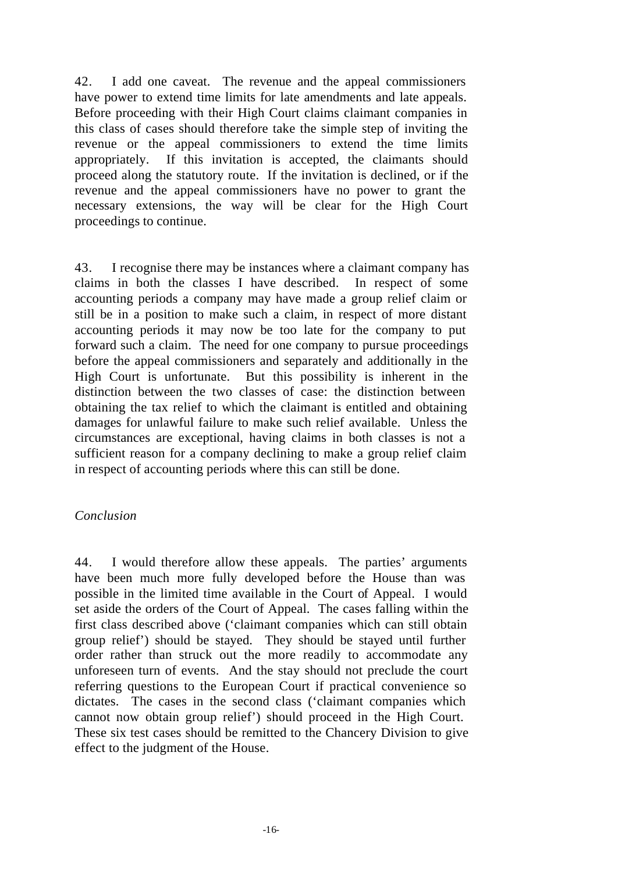42. I add one caveat. The revenue and the appeal commissioners have power to extend time limits for late amendments and late appeals. Before proceeding with their High Court claims claimant companies in this class of cases should therefore take the simple step of inviting the revenue or the appeal commissioners to extend the time limits appropriately. If this invitation is accepted, the claimants should proceed along the statutory route. If the invitation is declined, or if the revenue and the appeal commissioners have no power to grant the necessary extensions, the way will be clear for the High Court proceedings to continue.

43. I recognise there may be instances where a claimant company has claims in both the classes I have described. In respect of some accounting periods a company may have made a group relief claim or still be in a position to make such a claim, in respect of more distant accounting periods it may now be too late for the company to put forward such a claim. The need for one company to pursue proceedings before the appeal commissioners and separately and additionally in the High Court is unfortunate. But this possibility is inherent in the distinction between the two classes of case: the distinction between obtaining the tax relief to which the claimant is entitled and obtaining damages for unlawful failure to make such relief available. Unless the circumstances are exceptional, having claims in both classes is not a sufficient reason for a company declining to make a group relief claim in respect of accounting periods where this can still be done.

# *Conclusion*

44. I would therefore allow these appeals. The parties' arguments have been much more fully developed before the House than was possible in the limited time available in the Court of Appeal. I would set aside the orders of the Court of Appeal. The cases falling within the first class described above ('claimant companies which can still obtain group relief') should be stayed. They should be stayed until further order rather than struck out the more readily to accommodate any unforeseen turn of events. And the stay should not preclude the court referring questions to the European Court if practical convenience so dictates. The cases in the second class ('claimant companies which cannot now obtain group relief') should proceed in the High Court. These six test cases should be remitted to the Chancery Division to give effect to the judgment of the House.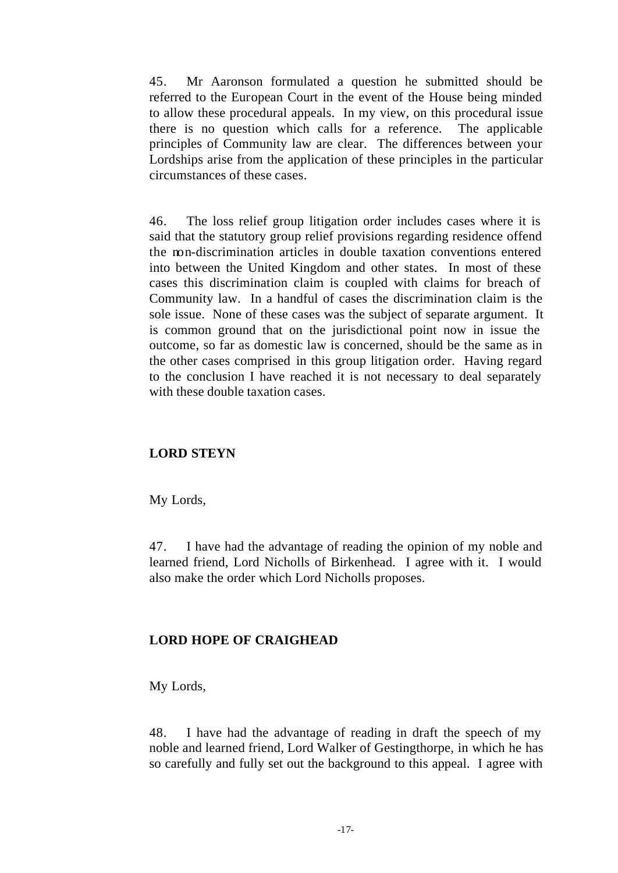45. Mr Aaronson formulated a question he submitted should be referred to the European Court in the event of the House being minded to allow these procedural appeals. In my view, on this procedural issue there is no question which calls for a reference. The applicable principles of Community law are clear. The differences between your Lordships arise from the application of these principles in the particular circumstances of these cases.

46. The loss relief group litigation order includes cases where it is said that the statutory group relief provisions regarding residence offend the non-discrimination articles in double taxation conventions entered into between the United Kingdom and other states. In most of these cases this discrimination claim is coupled with claims for breach of Community law. In a handful of cases the discrimination claim is the sole issue. None of these cases was the subject of separate argument. It is common ground that on the jurisdictional point now in issue the outcome, so far as domestic law is concerned, should be the same as in the other cases comprised in this group litigation order. Having regard to the conclusion I have reached it is not necessary to deal separately with these double taxation cases.

# **LORD STEYN**

My Lords,

47. I have had the advantage of reading the opinion of my noble and learned friend, Lord Nicholls of Birkenhead. I agree with it. I would also make the order which Lord Nicholls proposes.

# **LORD HOPE OF CRAIGHEAD**

My Lords,

48. I have had the advantage of reading in draft the speech of my noble and learned friend, Lord Walker of Gestingthorpe, in which he has so carefully and fully set out the background to this appeal. I agree with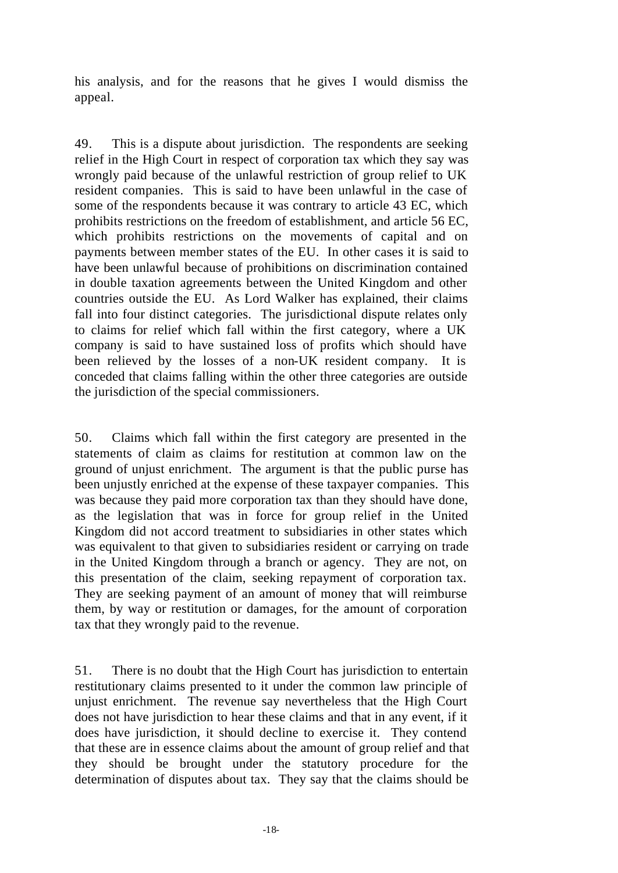his analysis, and for the reasons that he gives I would dismiss the appeal.

49. This is a dispute about jurisdiction. The respondents are seeking relief in the High Court in respect of corporation tax which they say was wrongly paid because of the unlawful restriction of group relief to UK resident companies. This is said to have been unlawful in the case of some of the respondents because it was contrary to article 43 EC, which prohibits restrictions on the freedom of establishment, and article 56 EC, which prohibits restrictions on the movements of capital and on payments between member states of the EU. In other cases it is said to have been unlawful because of prohibitions on discrimination contained in double taxation agreements between the United Kingdom and other countries outside the EU. As Lord Walker has explained, their claims fall into four distinct categories. The jurisdictional dispute relates only to claims for relief which fall within the first category, where a UK company is said to have sustained loss of profits which should have been relieved by the losses of a non-UK resident company. It is conceded that claims falling within the other three categories are outside the jurisdiction of the special commissioners.

50. Claims which fall within the first category are presented in the statements of claim as claims for restitution at common law on the ground of unjust enrichment. The argument is that the public purse has been unjustly enriched at the expense of these taxpayer companies. This was because they paid more corporation tax than they should have done, as the legislation that was in force for group relief in the United Kingdom did not accord treatment to subsidiaries in other states which was equivalent to that given to subsidiaries resident or carrying on trade in the United Kingdom through a branch or agency. They are not, on this presentation of the claim, seeking repayment of corporation tax. They are seeking payment of an amount of money that will reimburse them, by way or restitution or damages, for the amount of corporation tax that they wrongly paid to the revenue.

51. There is no doubt that the High Court has jurisdiction to entertain restitutionary claims presented to it under the common law principle of unjust enrichment. The revenue say nevertheless that the High Court does not have jurisdiction to hear these claims and that in any event, if it does have jurisdiction, it should decline to exercise it. They contend that these are in essence claims about the amount of group relief and that they should be brought under the statutory procedure for the determination of disputes about tax. They say that the claims should be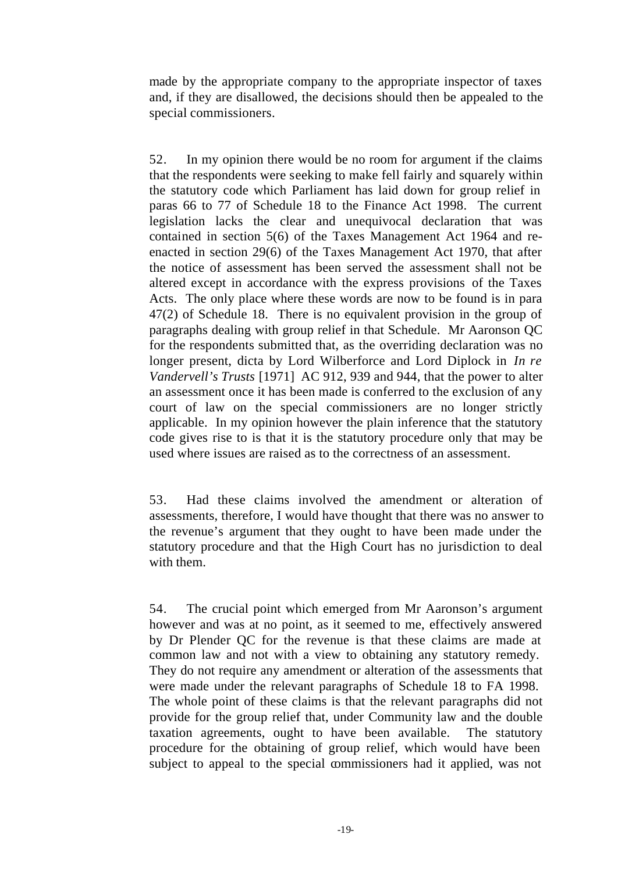made by the appropriate company to the appropriate inspector of taxes and, if they are disallowed, the decisions should then be appealed to the special commissioners.

52. In my opinion there would be no room for argument if the claims that the respondents were seeking to make fell fairly and squarely within the statutory code which Parliament has laid down for group relief in paras 66 to 77 of Schedule 18 to the Finance Act 1998. The current legislation lacks the clear and unequivocal declaration that was contained in section 5(6) of the Taxes Management Act 1964 and reenacted in section 29(6) of the Taxes Management Act 1970, that after the notice of assessment has been served the assessment shall not be altered except in accordance with the express provisions of the Taxes Acts. The only place where these words are now to be found is in para 47(2) of Schedule 18. There is no equivalent provision in the group of paragraphs dealing with group relief in that Schedule. Mr Aaronson QC for the respondents submitted that, as the overriding declaration was no longer present, dicta by Lord Wilberforce and Lord Diplock in *In re Vandervell's Trusts* [1971] AC 912, 939 and 944, that the power to alter an assessment once it has been made is conferred to the exclusion of any court of law on the special commissioners are no longer strictly applicable. In my opinion however the plain inference that the statutory code gives rise to is that it is the statutory procedure only that may be used where issues are raised as to the correctness of an assessment.

53. Had these claims involved the amendment or alteration of assessments, therefore, I would have thought that there was no answer to the revenue's argument that they ought to have been made under the statutory procedure and that the High Court has no jurisdiction to deal with them.

54. The crucial point which emerged from Mr Aaronson's argument however and was at no point, as it seemed to me, effectively answered by Dr Plender QC for the revenue is that these claims are made at common law and not with a view to obtaining any statutory remedy. They do not require any amendment or alteration of the assessments that were made under the relevant paragraphs of Schedule 18 to FA 1998. The whole point of these claims is that the relevant paragraphs did not provide for the group relief that, under Community law and the double taxation agreements, ought to have been available. The statutory procedure for the obtaining of group relief, which would have been subject to appeal to the special commissioners had it applied, was not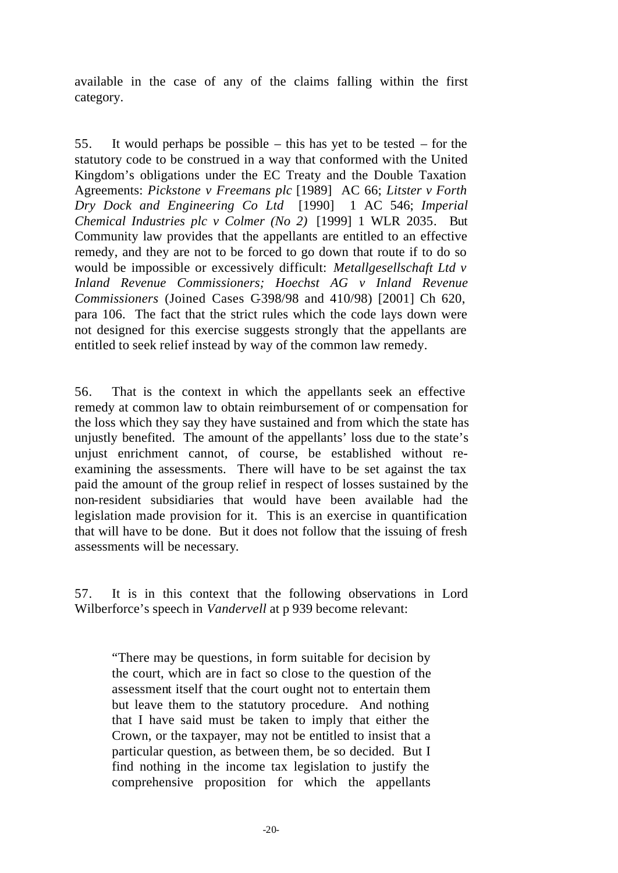available in the case of any of the claims falling within the first category.

55. It would perhaps be possible – this has yet to be tested – for the statutory code to be construed in a way that conformed with the United Kingdom's obligations under the EC Treaty and the Double Taxation Agreements: *Pickstone v Freemans plc* [1989] AC 66; *Litster v Forth Dry Dock and Engineering Co Ltd* [1990] 1 AC 546; *Imperial Chemical Industries plc v Colmer (No 2)* [1999] 1 WLR 2035*.* But Community law provides that the appellants are entitled to an effective remedy, and they are not to be forced to go down that route if to do so would be impossible or excessively difficult: *Metallgesellschaft Ltd v Inland Revenue Commissioners; Hoechst AG v Inland Revenue Commissioners* (Joined Cases C-398/98 and 410/98) [2001] Ch 620, para 106. The fact that the strict rules which the code lays down were not designed for this exercise suggests strongly that the appellants are entitled to seek relief instead by way of the common law remedy.

56. That is the context in which the appellants seek an effective remedy at common law to obtain reimbursement of or compensation for the loss which they say they have sustained and from which the state has unjustly benefited. The amount of the appellants' loss due to the state's unjust enrichment cannot, of course, be established without reexamining the assessments. There will have to be set against the tax paid the amount of the group relief in respect of losses sustained by the non-resident subsidiaries that would have been available had the legislation made provision for it. This is an exercise in quantification that will have to be done. But it does not follow that the issuing of fresh assessments will be necessary.

57. It is in this context that the following observations in Lord Wilberforce's speech in *Vandervell* at p 939 become relevant:

"There may be questions, in form suitable for decision by the court, which are in fact so close to the question of the assessment itself that the court ought not to entertain them but leave them to the statutory procedure. And nothing that I have said must be taken to imply that either the Crown, or the taxpayer, may not be entitled to insist that a particular question, as between them, be so decided. But I find nothing in the income tax legislation to justify the comprehensive proposition for which the appellants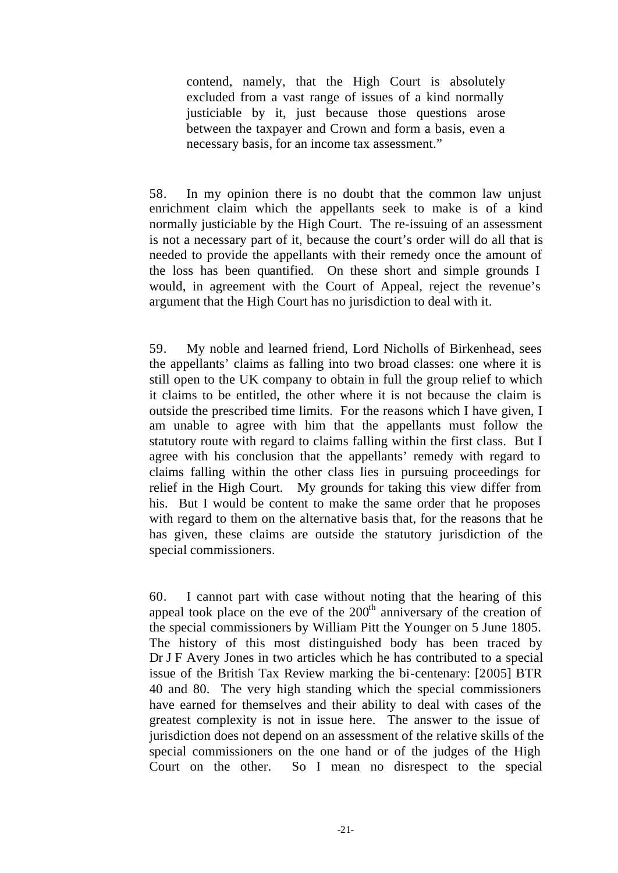contend, namely, that the High Court is absolutely excluded from a vast range of issues of a kind normally justiciable by it, just because those questions arose between the taxpayer and Crown and form a basis, even a necessary basis, for an income tax assessment."

58. In my opinion there is no doubt that the common law unjust enrichment claim which the appellants seek to make is of a kind normally justiciable by the High Court. The re-issuing of an assessment is not a necessary part of it, because the court's order will do all that is needed to provide the appellants with their remedy once the amount of the loss has been quantified. On these short and simple grounds I would, in agreement with the Court of Appeal, reject the revenue's argument that the High Court has no jurisdiction to deal with it.

59. My noble and learned friend, Lord Nicholls of Birkenhead, sees the appellants' claims as falling into two broad classes: one where it is still open to the UK company to obtain in full the group relief to which it claims to be entitled, the other where it is not because the claim is outside the prescribed time limits. For the reasons which I have given, I am unable to agree with him that the appellants must follow the statutory route with regard to claims falling within the first class. But I agree with his conclusion that the appellants' remedy with regard to claims falling within the other class lies in pursuing proceedings for relief in the High Court. My grounds for taking this view differ from his. But I would be content to make the same order that he proposes with regard to them on the alternative basis that, for the reasons that he has given, these claims are outside the statutory jurisdiction of the special commissioners.

60. I cannot part with case without noting that the hearing of this appeal took place on the eve of the  $200<sup>th</sup>$  anniversary of the creation of the special commissioners by William Pitt the Younger on 5 June 1805. The history of this most distinguished body has been traced by Dr J F Avery Jones in two articles which he has contributed to a special issue of the British Tax Review marking the bi-centenary: [2005] BTR 40 and 80. The very high standing which the special commissioners have earned for themselves and their ability to deal with cases of the greatest complexity is not in issue here. The answer to the issue of jurisdiction does not depend on an assessment of the relative skills of the special commissioners on the one hand or of the judges of the High Court on the other. So I mean no disrespect to the special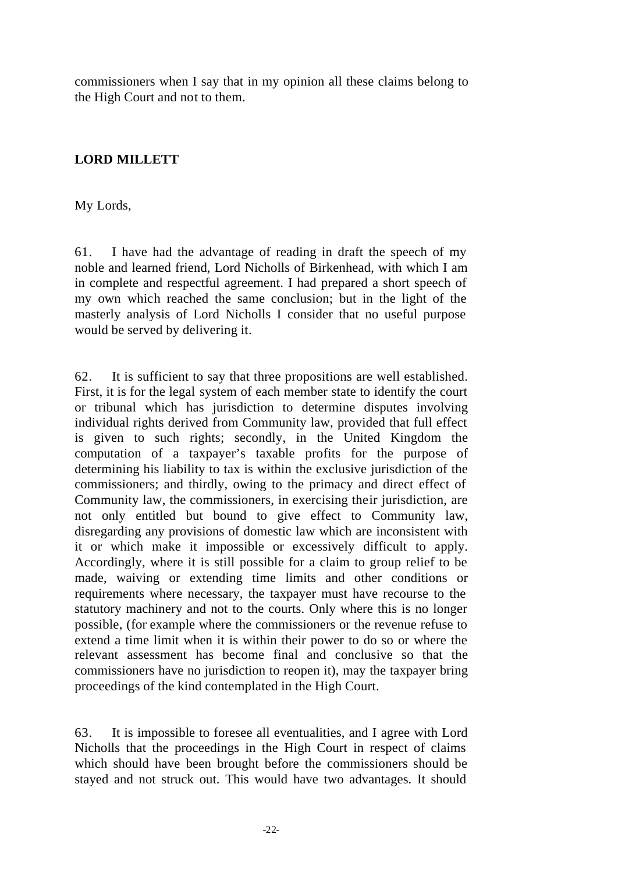commissioners when I say that in my opinion all these claims belong to the High Court and not to them.

# **LORD MILLETT**

My Lords,

61. I have had the advantage of reading in draft the speech of my noble and learned friend, Lord Nicholls of Birkenhead, with which I am in complete and respectful agreement. I had prepared a short speech of my own which reached the same conclusion; but in the light of the masterly analysis of Lord Nicholls I consider that no useful purpose would be served by delivering it.

62. It is sufficient to say that three propositions are well established. First, it is for the legal system of each member state to identify the court or tribunal which has jurisdiction to determine disputes involving individual rights derived from Community law, provided that full effect is given to such rights; secondly, in the United Kingdom the computation of a taxpayer's taxable profits for the purpose of determining his liability to tax is within the exclusive jurisdiction of the commissioners; and thirdly, owing to the primacy and direct effect of Community law, the commissioners, in exercising their jurisdiction, are not only entitled but bound to give effect to Community law, disregarding any provisions of domestic law which are inconsistent with it or which make it impossible or excessively difficult to apply. Accordingly, where it is still possible for a claim to group relief to be made, waiving or extending time limits and other conditions or requirements where necessary, the taxpayer must have recourse to the statutory machinery and not to the courts. Only where this is no longer possible, (for example where the commissioners or the revenue refuse to extend a time limit when it is within their power to do so or where the relevant assessment has become final and conclusive so that the commissioners have no jurisdiction to reopen it), may the taxpayer bring proceedings of the kind contemplated in the High Court.

63. It is impossible to foresee all eventualities, and I agree with Lord Nicholls that the proceedings in the High Court in respect of claims which should have been brought before the commissioners should be stayed and not struck out. This would have two advantages. It should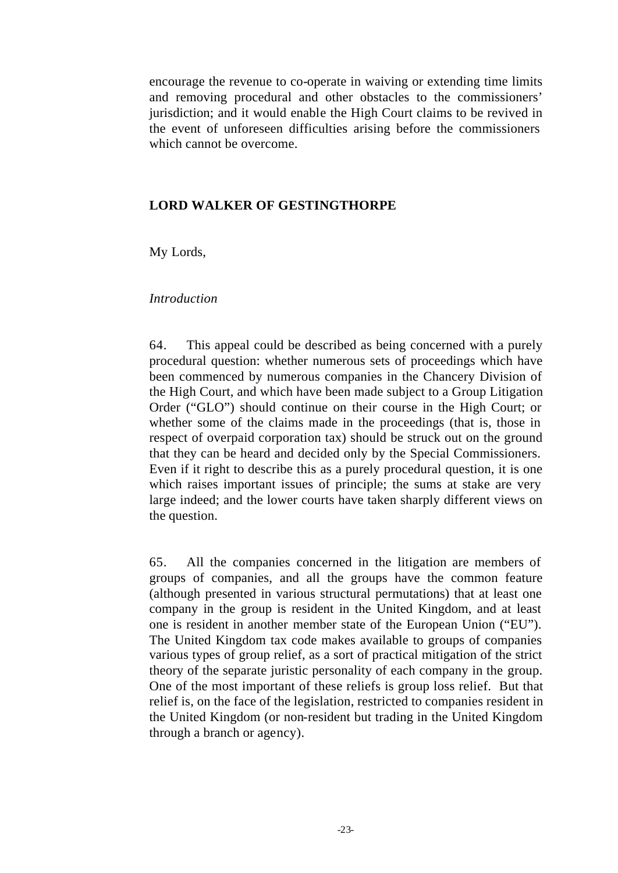encourage the revenue to co-operate in waiving or extending time limits and removing procedural and other obstacles to the commissioners' jurisdiction; and it would enable the High Court claims to be revived in the event of unforeseen difficulties arising before the commissioners which cannot be overcome.

### **LORD WALKER OF GESTINGTHORPE**

My Lords,

#### *Introduction*

64. This appeal could be described as being concerned with a purely procedural question: whether numerous sets of proceedings which have been commenced by numerous companies in the Chancery Division of the High Court, and which have been made subject to a Group Litigation Order ("GLO") should continue on their course in the High Court; or whether some of the claims made in the proceedings (that is, those in respect of overpaid corporation tax) should be struck out on the ground that they can be heard and decided only by the Special Commissioners. Even if it right to describe this as a purely procedural question, it is one which raises important issues of principle; the sums at stake are very large indeed; and the lower courts have taken sharply different views on the question.

65. All the companies concerned in the litigation are members of groups of companies, and all the groups have the common feature (although presented in various structural permutations) that at least one company in the group is resident in the United Kingdom, and at least one is resident in another member state of the European Union ("EU"). The United Kingdom tax code makes available to groups of companies various types of group relief, as a sort of practical mitigation of the strict theory of the separate juristic personality of each company in the group. One of the most important of these reliefs is group loss relief. But that relief is, on the face of the legislation, restricted to companies resident in the United Kingdom (or non-resident but trading in the United Kingdom through a branch or agency).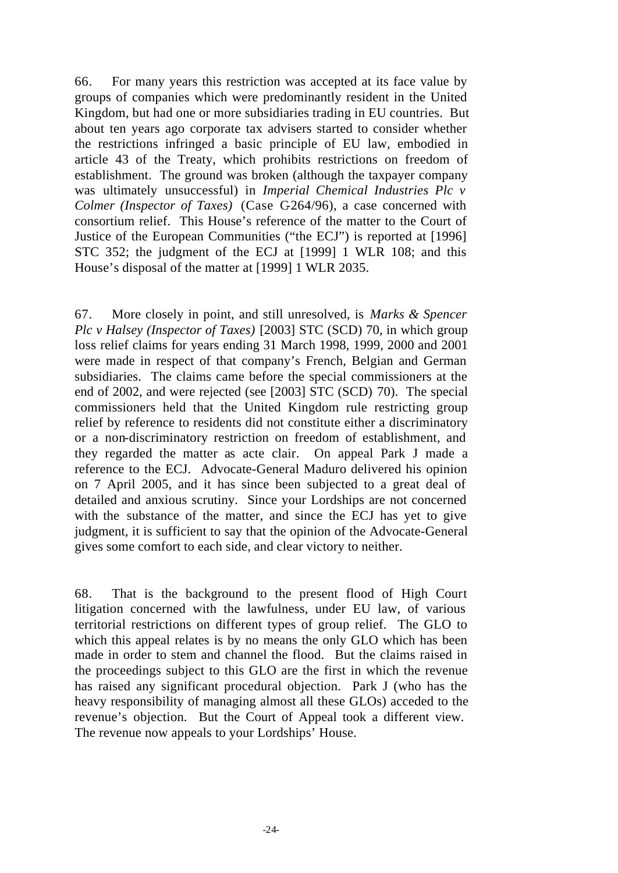66. For many years this restriction was accepted at its face value by groups of companies which were predominantly resident in the United Kingdom, but had one or more subsidiaries trading in EU countries. But about ten years ago corporate tax advisers started to consider whether the restrictions infringed a basic principle of EU law, embodied in article 43 of the Treaty, which prohibits restrictions on freedom of establishment. The ground was broken (although the taxpayer company was ultimately unsuccessful) in *Imperial Chemical Industries Plc v Colmer (Inspector of Taxes)* (Case C-264/96), a case concerned with consortium relief. This House's reference of the matter to the Court of Justice of the European Communities ("the ECJ") is reported at [1996] STC 352; the judgment of the ECJ at [1999] 1 WLR 108; and this House's disposal of the matter at [1999] 1 WLR 2035.

67. More closely in point, and still unresolved, is *Marks & Spencer Plc v Halsey (Inspector of Taxes)* [2003] STC (SCD) 70*,* in which group loss relief claims for years ending 31 March 1998, 1999, 2000 and 2001 were made in respect of that company's French, Belgian and German subsidiaries. The claims came before the special commissioners at the end of 2002, and were rejected (see [2003] STC (SCD) 70). The special commissioners held that the United Kingdom rule restricting group relief by reference to residents did not constitute either a discriminatory or a non-discriminatory restriction on freedom of establishment, and they regarded the matter as acte clair. On appeal Park J made a reference to the ECJ. Advocate-General Maduro delivered his opinion on 7 April 2005, and it has since been subjected to a great deal of detailed and anxious scrutiny. Since your Lordships are not concerned with the substance of the matter, and since the ECJ has yet to give judgment, it is sufficient to say that the opinion of the Advocate-General gives some comfort to each side, and clear victory to neither.

68. That is the background to the present flood of High Court litigation concerned with the lawfulness, under EU law, of various territorial restrictions on different types of group relief. The GLO to which this appeal relates is by no means the only GLO which has been made in order to stem and channel the flood. But the claims raised in the proceedings subject to this GLO are the first in which the revenue has raised any significant procedural objection. Park J (who has the heavy responsibility of managing almost all these GLOs) acceded to the revenue's objection. But the Court of Appeal took a different view. The revenue now appeals to your Lordships' House.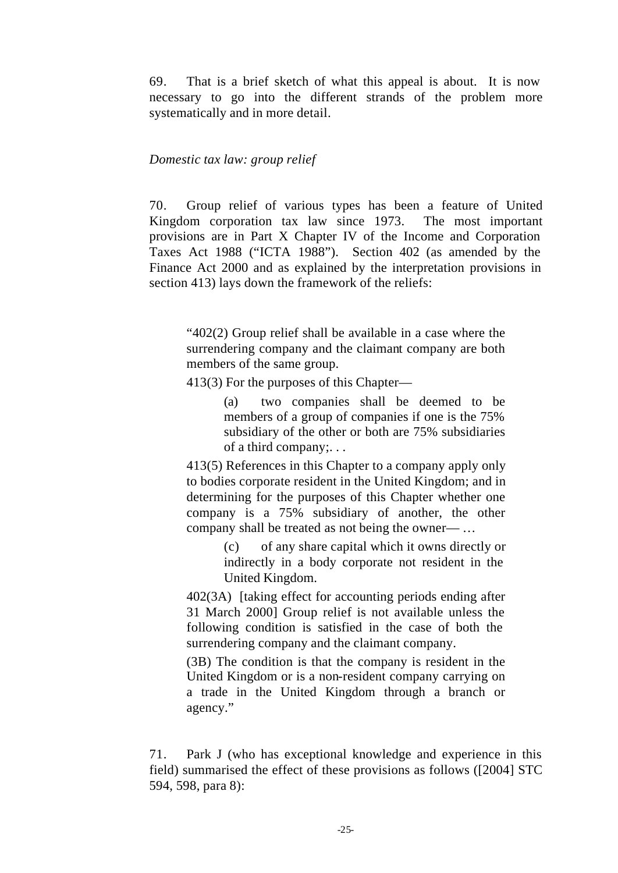69. That is a brief sketch of what this appeal is about. It is now necessary to go into the different strands of the problem more systematically and in more detail.

#### *Domestic tax law: group relief*

70. Group relief of various types has been a feature of United Kingdom corporation tax law since 1973. The most important provisions are in Part X Chapter IV of the Income and Corporation Taxes Act 1988 ("ICTA 1988"). Section 402 (as amended by the Finance Act 2000 and as explained by the interpretation provisions in section 413) lays down the framework of the reliefs:

"402(2) Group relief shall be available in a case where the surrendering company and the claimant company are both members of the same group.

413(3) For the purposes of this Chapter—

(a) two companies shall be deemed to be members of a group of companies if one is the 75% subsidiary of the other or both are 75% subsidiaries of a third company;. . .

413(5) References in this Chapter to a company apply only to bodies corporate resident in the United Kingdom; and in determining for the purposes of this Chapter whether one company is a 75% subsidiary of another, the other company shall be treated as not being the owner— …

> (c) of any share capital which it owns directly or indirectly in a body corporate not resident in the United Kingdom.

402(3A) [taking effect for accounting periods ending after 31 March 2000] Group relief is not available unless the following condition is satisfied in the case of both the surrendering company and the claimant company.

(3B) The condition is that the company is resident in the United Kingdom or is a non-resident company carrying on a trade in the United Kingdom through a branch or agency."

71. Park J (who has exceptional knowledge and experience in this field) summarised the effect of these provisions as follows ([2004] STC 594, 598, para 8):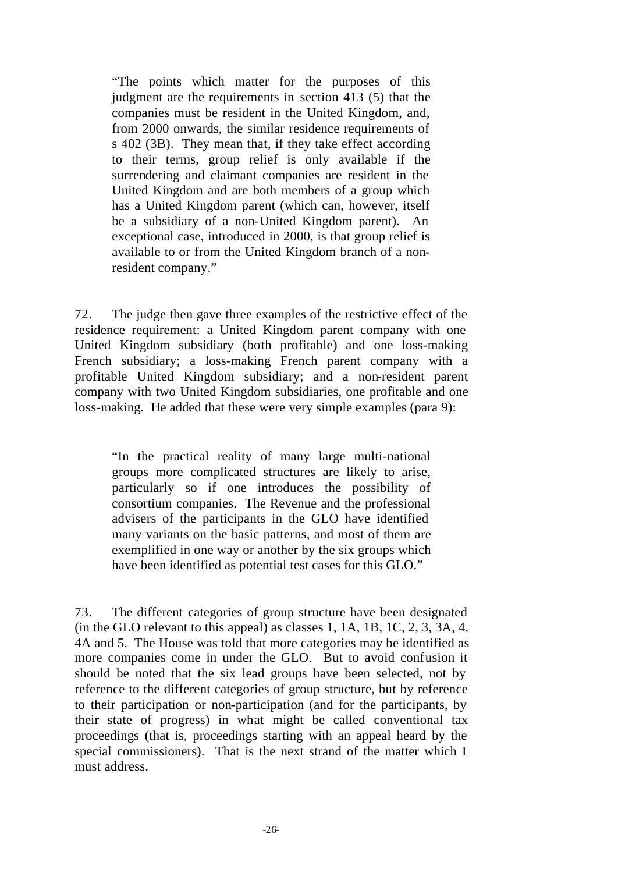"The points which matter for the purposes of this judgment are the requirements in section 413 (5) that the companies must be resident in the United Kingdom, and, from 2000 onwards, the similar residence requirements of s 402 (3B). They mean that, if they take effect according to their terms, group relief is only available if the surrendering and claimant companies are resident in the United Kingdom and are both members of a group which has a United Kingdom parent (which can, however, itself be a subsidiary of a non-United Kingdom parent). An exceptional case, introduced in 2000, is that group relief is available to or from the United Kingdom branch of a nonresident company."

72. The judge then gave three examples of the restrictive effect of the residence requirement: a United Kingdom parent company with one United Kingdom subsidiary (both profitable) and one loss-making French subsidiary; a loss-making French parent company with a profitable United Kingdom subsidiary; and a non-resident parent company with two United Kingdom subsidiaries, one profitable and one loss-making. He added that these were very simple examples (para 9):

"In the practical reality of many large multi-national groups more complicated structures are likely to arise, particularly so if one introduces the possibility of consortium companies. The Revenue and the professional advisers of the participants in the GLO have identified many variants on the basic patterns, and most of them are exemplified in one way or another by the six groups which have been identified as potential test cases for this GLO."

73. The different categories of group structure have been designated (in the GLO relevant to this appeal) as classes 1, 1A, 1B, 1C, 2, 3, 3A, 4, 4A and 5. The House was told that more categories may be identified as more companies come in under the GLO. But to avoid confusion it should be noted that the six lead groups have been selected, not by reference to the different categories of group structure, but by reference to their participation or non-participation (and for the participants, by their state of progress) in what might be called conventional tax proceedings (that is, proceedings starting with an appeal heard by the special commissioners). That is the next strand of the matter which I must address.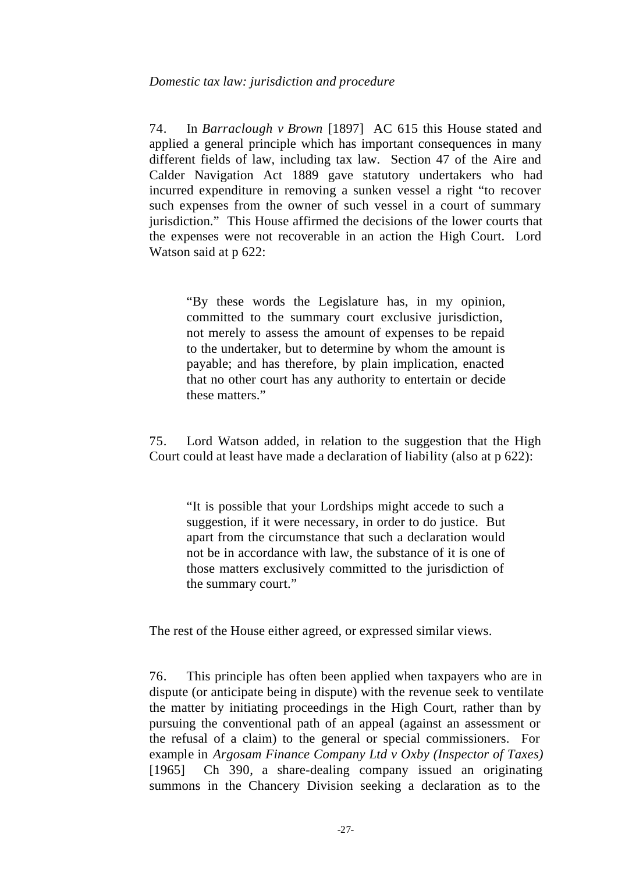### *Domestic tax law: jurisdiction and procedure*

74. In *Barraclough v Brown* [1897] AC 615 this House stated and applied a general principle which has important consequences in many different fields of law, including tax law. Section 47 of the Aire and Calder Navigation Act 1889 gave statutory undertakers who had incurred expenditure in removing a sunken vessel a right "to recover such expenses from the owner of such vessel in a court of summary jurisdiction." This House affirmed the decisions of the lower courts that the expenses were not recoverable in an action the High Court. Lord Watson said at p 622:

"By these words the Legislature has, in my opinion, committed to the summary court exclusive jurisdiction, not merely to assess the amount of expenses to be repaid to the undertaker, but to determine by whom the amount is payable; and has therefore, by plain implication, enacted that no other court has any authority to entertain or decide these matters."

75. Lord Watson added, in relation to the suggestion that the High Court could at least have made a declaration of liability (also at p 622):

"It is possible that your Lordships might accede to such a suggestion, if it were necessary, in order to do justice. But apart from the circumstance that such a declaration would not be in accordance with law, the substance of it is one of those matters exclusively committed to the jurisdiction of the summary court."

The rest of the House either agreed, or expressed similar views.

76. This principle has often been applied when taxpayers who are in dispute (or anticipate being in dispute) with the revenue seek to ventilate the matter by initiating proceedings in the High Court, rather than by pursuing the conventional path of an appeal (against an assessment or the refusal of a claim) to the general or special commissioners. For example in *Argosam Finance Company Ltd v Oxby (Inspector of Taxes)* [1965] Ch 390, a share-dealing company issued an originating summons in the Chancery Division seeking a declaration as to the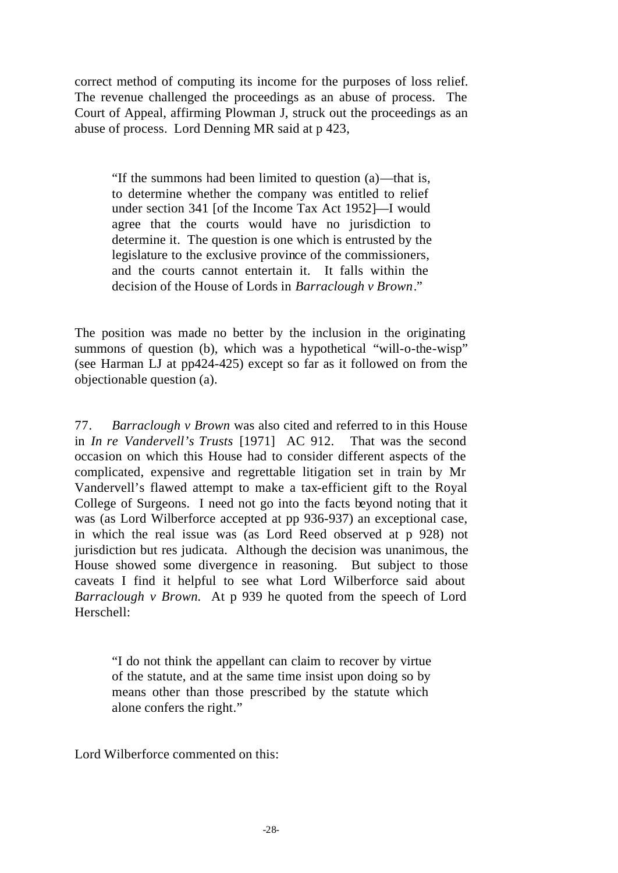correct method of computing its income for the purposes of loss relief. The revenue challenged the proceedings as an abuse of process. The Court of Appeal, affirming Plowman J, struck out the proceedings as an abuse of process. Lord Denning MR said at p 423,

"If the summons had been limited to question (a)—that is, to determine whether the company was entitled to relief under section 341 [of the Income Tax Act 1952]—I would agree that the courts would have no jurisdiction to determine it. The question is one which is entrusted by the legislature to the exclusive province of the commissioners, and the courts cannot entertain it. It falls within the decision of the House of Lords in *Barraclough v Brown*."

The position was made no better by the inclusion in the originating summons of question (b), which was a hypothetical "will-o-the-wisp" (see Harman LJ at pp424-425) except so far as it followed on from the objectionable question (a).

77. *Barraclough v Brown* was also cited and referred to in this House in *In re Vandervell's Trusts* [1971] AC 912. That was the second occasion on which this House had to consider different aspects of the complicated, expensive and regrettable litigation set in train by Mr Vandervell's flawed attempt to make a tax-efficient gift to the Royal College of Surgeons. I need not go into the facts beyond noting that it was (as Lord Wilberforce accepted at pp 936-937) an exceptional case, in which the real issue was (as Lord Reed observed at p 928) not jurisdiction but res judicata. Although the decision was unanimous, the House showed some divergence in reasoning. But subject to those caveats I find it helpful to see what Lord Wilberforce said about *Barraclough v Brown.* At p 939 he quoted from the speech of Lord Herschell:

"I do not think the appellant can claim to recover by virtue of the statute, and at the same time insist upon doing so by means other than those prescribed by the statute which alone confers the right."

Lord Wilberforce commented on this: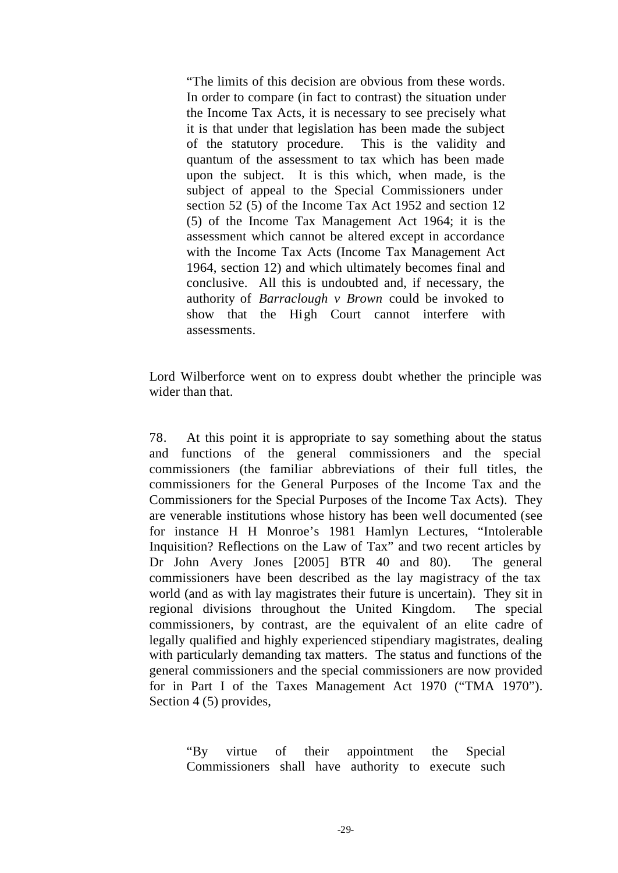"The limits of this decision are obvious from these words. In order to compare (in fact to contrast) the situation under the Income Tax Acts, it is necessary to see precisely what it is that under that legislation has been made the subject of the statutory procedure. This is the validity and quantum of the assessment to tax which has been made upon the subject. It is this which, when made, is the subject of appeal to the Special Commissioners under section 52 (5) of the Income Tax Act 1952 and section 12 (5) of the Income Tax Management Act 1964; it is the assessment which cannot be altered except in accordance with the Income Tax Acts (Income Tax Management Act 1964, section 12) and which ultimately becomes final and conclusive. All this is undoubted and, if necessary, the authority of *Barraclough v Brown* could be invoked to show that the High Court cannot interfere with assessments.

Lord Wilberforce went on to express doubt whether the principle was wider than that.

78. At this point it is appropriate to say something about the status and functions of the general commissioners and the special commissioners (the familiar abbreviations of their full titles, the commissioners for the General Purposes of the Income Tax and the Commissioners for the Special Purposes of the Income Tax Acts). They are venerable institutions whose history has been well documented (see for instance H H Monroe's 1981 Hamlyn Lectures, "Intolerable Inquisition? Reflections on the Law of Tax" and two recent articles by Dr John Avery Jones [2005] BTR 40 and 80). The general commissioners have been described as the lay magistracy of the tax world (and as with lay magistrates their future is uncertain). They sit in regional divisions throughout the United Kingdom. The special commissioners, by contrast, are the equivalent of an elite cadre of legally qualified and highly experienced stipendiary magistrates, dealing with particularly demanding tax matters. The status and functions of the general commissioners and the special commissioners are now provided for in Part I of the Taxes Management Act 1970 ("TMA 1970"). Section 4 (5) provides,

"By virtue of their appointment the Special Commissioners shall have authority to execute such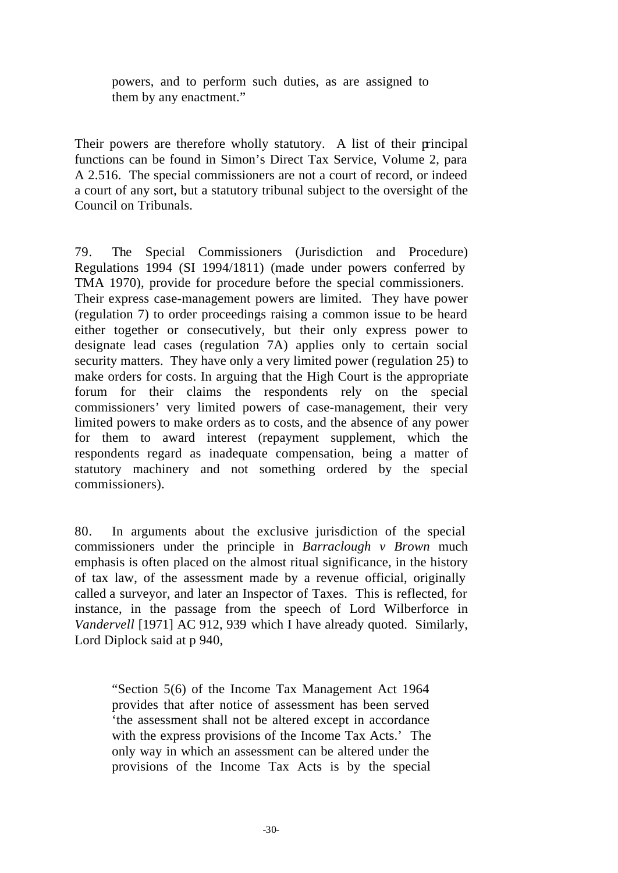powers, and to perform such duties, as are assigned to them by any enactment."

Their powers are therefore wholly statutory. A list of their principal functions can be found in Simon's Direct Tax Service, Volume 2, para A 2.516. The special commissioners are not a court of record, or indeed a court of any sort, but a statutory tribunal subject to the oversight of the Council on Tribunals.

79. The Special Commissioners (Jurisdiction and Procedure) Regulations 1994 (SI 1994/1811) (made under powers conferred by TMA 1970), provide for procedure before the special commissioners. Their express case-management powers are limited. They have power (regulation 7) to order proceedings raising a common issue to be heard either together or consecutively, but their only express power to designate lead cases (regulation 7A) applies only to certain social security matters. They have only a very limited power (regulation 25) to make orders for costs. In arguing that the High Court is the appropriate forum for their claims the respondents rely on the special commissioners' very limited powers of case-management, their very limited powers to make orders as to costs, and the absence of any power for them to award interest (repayment supplement, which the respondents regard as inadequate compensation, being a matter of statutory machinery and not something ordered by the special commissioners).

80. In arguments about the exclusive jurisdiction of the special commissioners under the principle in *Barraclough v Brown* much emphasis is often placed on the almost ritual significance, in the history of tax law, of the assessment made by a revenue official, originally called a surveyor, and later an Inspector of Taxes. This is reflected, for instance, in the passage from the speech of Lord Wilberforce in *Vandervell* [1971] AC 912, 939 which I have already quoted. Similarly, Lord Diplock said at p 940,

"Section 5(6) of the Income Tax Management Act 1964 provides that after notice of assessment has been served 'the assessment shall not be altered except in accordance with the express provisions of the Income Tax Acts.' The only way in which an assessment can be altered under the provisions of the Income Tax Acts is by the special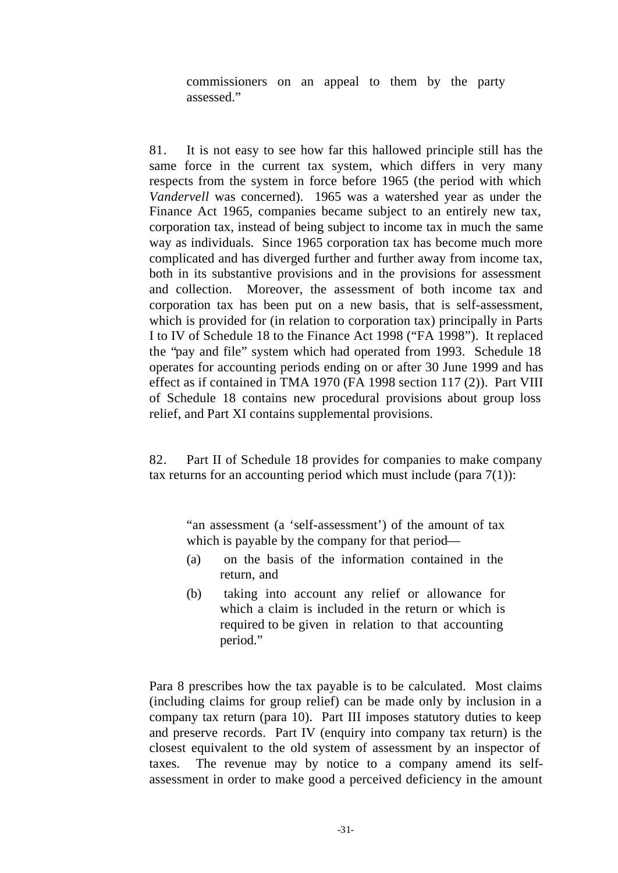commissioners on an appeal to them by the party assessed."

81. It is not easy to see how far this hallowed principle still has the same force in the current tax system, which differs in very many respects from the system in force before 1965 (the period with which *Vandervell* was concerned). 1965 was a watershed year as under the Finance Act 1965, companies became subject to an entirely new tax, corporation tax, instead of being subject to income tax in much the same way as individuals. Since 1965 corporation tax has become much more complicated and has diverged further and further away from income tax, both in its substantive provisions and in the provisions for assessment and collection. Moreover, the assessment of both income tax and corporation tax has been put on a new basis, that is self-assessment, which is provided for (in relation to corporation tax) principally in Parts I to IV of Schedule 18 to the Finance Act 1998 ("FA 1998"). It replaced the "pay and file" system which had operated from 1993. Schedule 18 operates for accounting periods ending on or after 30 June 1999 and has effect as if contained in TMA 1970 (FA 1998 section 117 (2)). Part VIII of Schedule 18 contains new procedural provisions about group loss relief, and Part XI contains supplemental provisions.

82. Part II of Schedule 18 provides for companies to make company tax returns for an accounting period which must include (para 7(1)):

"an assessment (a 'self-assessment') of the amount of tax which is payable by the company for that period—

- (a) on the basis of the information contained in the return, and
- (b) taking into account any relief or allowance for which a claim is included in the return or which is required to be given in relation to that accounting period."

Para 8 prescribes how the tax payable is to be calculated. Most claims (including claims for group relief) can be made only by inclusion in a company tax return (para 10). Part III imposes statutory duties to keep and preserve records. Part IV (enquiry into company tax return) is the closest equivalent to the old system of assessment by an inspector of taxes. The revenue may by notice to a company amend its selfassessment in order to make good a perceived deficiency in the amount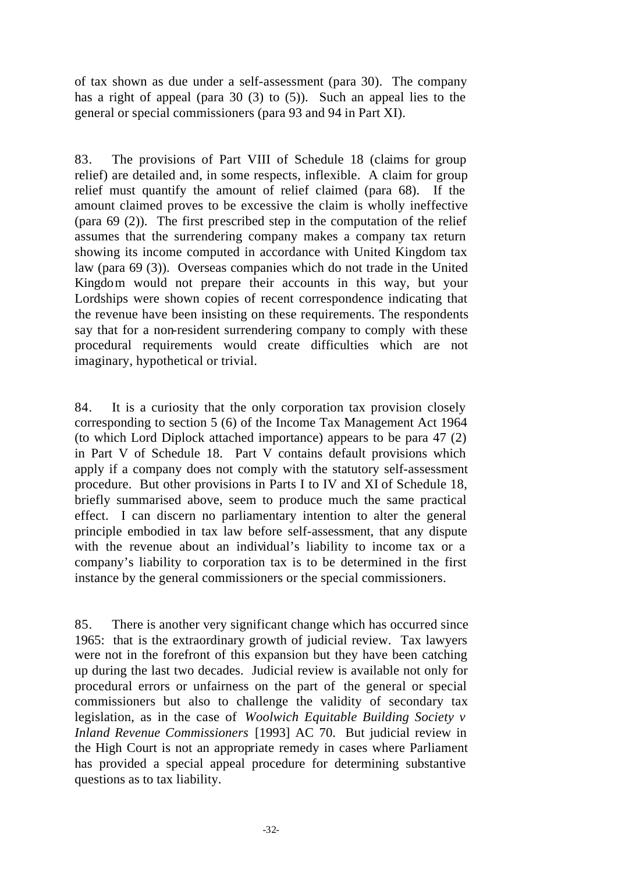of tax shown as due under a self-assessment (para 30). The company has a right of appeal (para 30 (3) to (5)). Such an appeal lies to the general or special commissioners (para 93 and 94 in Part XI).

83. The provisions of Part VIII of Schedule 18 (claims for group relief) are detailed and, in some respects, inflexible. A claim for group relief must quantify the amount of relief claimed (para 68). If the amount claimed proves to be excessive the claim is wholly ineffective (para 69 (2)). The first prescribed step in the computation of the relief assumes that the surrendering company makes a company tax return showing its income computed in accordance with United Kingdom tax law (para 69 (3)). Overseas companies which do not trade in the United Kingdom would not prepare their accounts in this way, but your Lordships were shown copies of recent correspondence indicating that the revenue have been insisting on these requirements. The respondents say that for a non-resident surrendering company to comply with these procedural requirements would create difficulties which are not imaginary, hypothetical or trivial.

84. It is a curiosity that the only corporation tax provision closely corresponding to section 5 (6) of the Income Tax Management Act 1964 (to which Lord Diplock attached importance) appears to be para 47 (2) in Part V of Schedule 18. Part V contains default provisions which apply if a company does not comply with the statutory self-assessment procedure. But other provisions in Parts I to IV and XI of Schedule 18, briefly summarised above, seem to produce much the same practical effect. I can discern no parliamentary intention to alter the general principle embodied in tax law before self-assessment, that any dispute with the revenue about an individual's liability to income tax or a company's liability to corporation tax is to be determined in the first instance by the general commissioners or the special commissioners.

85. There is another very significant change which has occurred since 1965: that is the extraordinary growth of judicial review. Tax lawyers were not in the forefront of this expansion but they have been catching up during the last two decades. Judicial review is available not only for procedural errors or unfairness on the part of the general or special commissioners but also to challenge the validity of secondary tax legislation, as in the case of *Woolwich Equitable Building Society v Inland Revenue Commissioners* [1993] AC 70. But judicial review in the High Court is not an appropriate remedy in cases where Parliament has provided a special appeal procedure for determining substantive questions as to tax liability.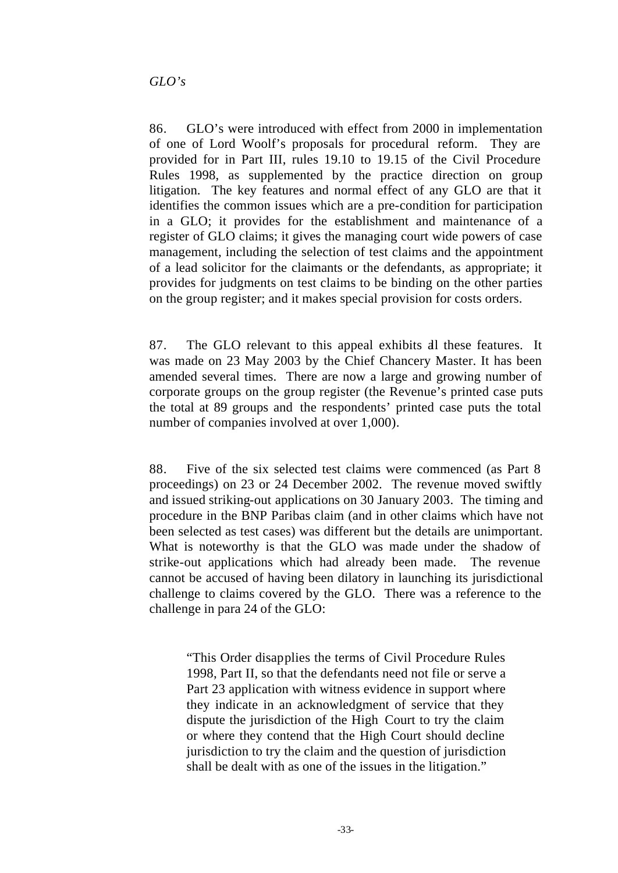86. GLO's were introduced with effect from 2000 in implementation of one of Lord Woolf's proposals for procedural reform. They are provided for in Part III, rules 19.10 to 19.15 of the Civil Procedure Rules 1998, as supplemented by the practice direction on group litigation. The key features and normal effect of any GLO are that it identifies the common issues which are a pre-condition for participation in a GLO; it provides for the establishment and maintenance of a register of GLO claims; it gives the managing court wide powers of case management, including the selection of test claims and the appointment of a lead solicitor for the claimants or the defendants, as appropriate; it provides for judgments on test claims to be binding on the other parties on the group register; and it makes special provision for costs orders.

87. The GLO relevant to this appeal exhibits all these features. It was made on 23 May 2003 by the Chief Chancery Master. It has been amended several times. There are now a large and growing number of corporate groups on the group register (the Revenue's printed case puts the total at 89 groups and the respondents' printed case puts the total number of companies involved at over 1,000).

88. Five of the six selected test claims were commenced (as Part 8 proceedings) on 23 or 24 December 2002. The revenue moved swiftly and issued striking-out applications on 30 January 2003. The timing and procedure in the BNP Paribas claim (and in other claims which have not been selected as test cases) was different but the details are unimportant. What is noteworthy is that the GLO was made under the shadow of strike-out applications which had already been made. The revenue cannot be accused of having been dilatory in launching its jurisdictional challenge to claims covered by the GLO. There was a reference to the challenge in para 24 of the GLO:

"This Order disapplies the terms of Civil Procedure Rules 1998, Part II, so that the defendants need not file or serve a Part 23 application with witness evidence in support where they indicate in an acknowledgment of service that they dispute the jurisdiction of the High Court to try the claim or where they contend that the High Court should decline jurisdiction to try the claim and the question of jurisdiction shall be dealt with as one of the issues in the litigation."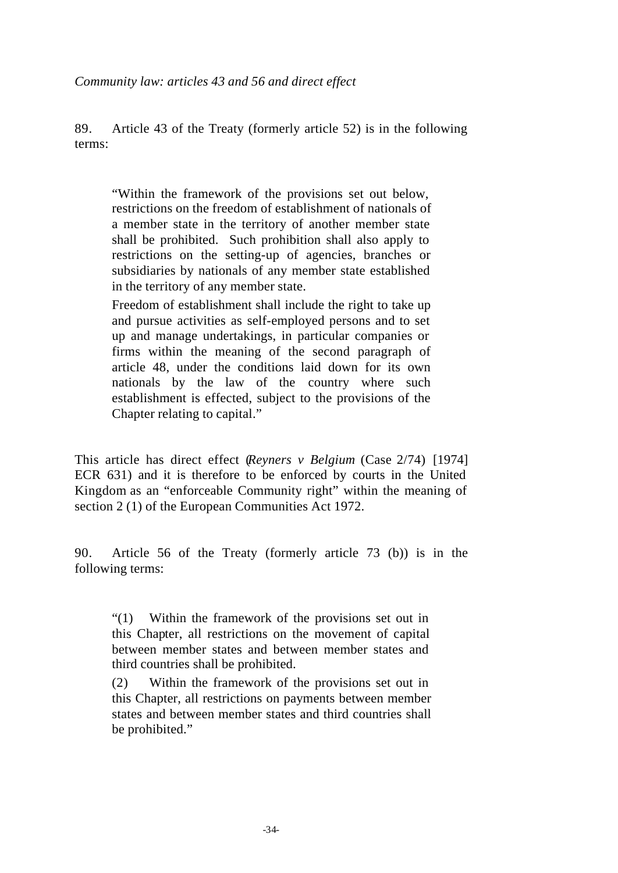89. Article 43 of the Treaty (formerly article 52) is in the following terms:

"Within the framework of the provisions set out below, restrictions on the freedom of establishment of nationals of a member state in the territory of another member state shall be prohibited. Such prohibition shall also apply to restrictions on the setting-up of agencies, branches or subsidiaries by nationals of any member state established in the territory of any member state.

Freedom of establishment shall include the right to take up and pursue activities as self-employed persons and to set up and manage undertakings, in particular companies or firms within the meaning of the second paragraph of article 48, under the conditions laid down for its own nationals by the law of the country where such establishment is effected, subject to the provisions of the Chapter relating to capital."

This article has direct effect (*Reyners v Belgium* (Case 2/74) [1974] ECR 631) and it is therefore to be enforced by courts in the United Kingdom as an "enforceable Community right" within the meaning of section 2 (1) of the European Communities Act 1972.

90. Article 56 of the Treaty (formerly article 73 (b)) is in the following terms:

"(1) Within the framework of the provisions set out in this Chapter, all restrictions on the movement of capital between member states and between member states and third countries shall be prohibited.

(2) Within the framework of the provisions set out in this Chapter, all restrictions on payments between member states and between member states and third countries shall be prohibited."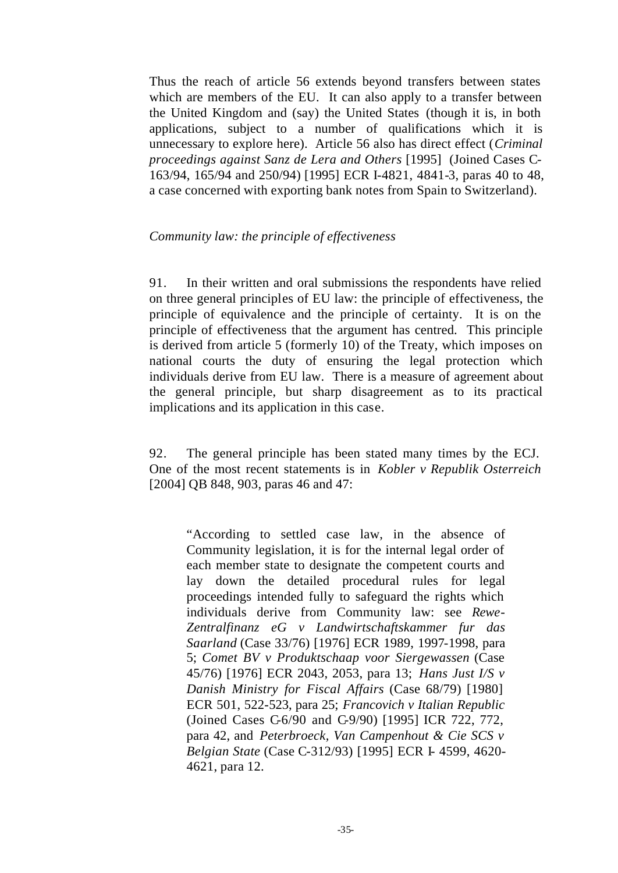Thus the reach of article 56 extends beyond transfers between states which are members of the EU. It can also apply to a transfer between the United Kingdom and (say) the United States (though it is, in both applications, subject to a number of qualifications which it is unnecessary to explore here). Article 56 also has direct effect (*Criminal proceedings against Sanz de Lera and Others* [1995] (Joined Cases C-163/94, 165/94 and 250/94) [1995] ECR I-4821, 4841-3, paras 40 to 48, a case concerned with exporting bank notes from Spain to Switzerland).

### *Community law: the principle of effectiveness*

91. In their written and oral submissions the respondents have relied on three general principles of EU law: the principle of effectiveness, the principle of equivalence and the principle of certainty. It is on the principle of effectiveness that the argument has centred. This principle is derived from article 5 (formerly 10) of the Treaty, which imposes on national courts the duty of ensuring the legal protection which individuals derive from EU law. There is a measure of agreement about the general principle, but sharp disagreement as to its practical implications and its application in this case.

92. The general principle has been stated many times by the ECJ. One of the most recent statements is in *Kobler v Republik Osterreich*  [2004] OB 848, 903, paras 46 and 47:

"According to settled case law, in the absence of Community legislation, it is for the internal legal order of each member state to designate the competent courts and lay down the detailed procedural rules for legal proceedings intended fully to safeguard the rights which individuals derive from Community law: see *Rewe-Zentralfinanz eG v Landwirtschaftskammer fur das Saarland* (Case 33/76) [1976] ECR 1989, 1997-1998, para 5; *Comet BV v Produktschaap voor Siergewassen* (Case 45/76) [1976] ECR 2043, 2053, para 13; *Hans Just I/S v Danish Ministry for Fiscal Affairs* (Case 68/79) [1980] ECR 501, 522-523, para 25; *Francovich v Italian Republic*  (Joined Cases C-6/90 and C-9/90) [1995] ICR 722, 772, para 42, and *Peterbroeck, Van Campenhout & Cie SCS v Belgian State* (Case C-312/93) [1995] ECR I- 4599, 4620- 4621, para 12.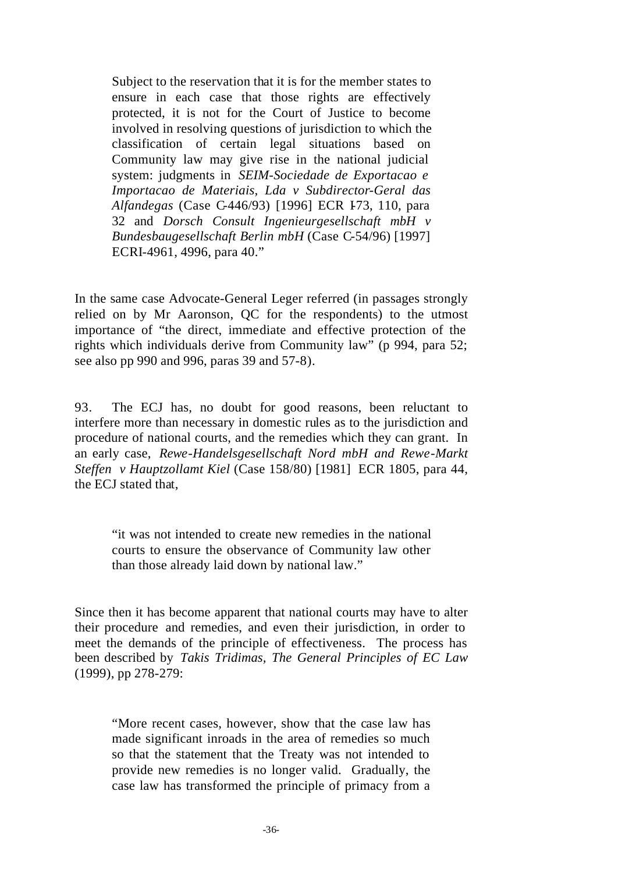Subject to the reservation that it is for the member states to ensure in each case that those rights are effectively protected, it is not for the Court of Justice to become involved in resolving questions of jurisdiction to which the classification of certain legal situations based on Community law may give rise in the national judicial system: judgments in *SEIM-Sociedade de Exportacao e Importacao de Materiais, Lda v Subdirector-Geral das Alfandegas* (Case C-446/93) [1996] ECR 173, 110, para 32 and *Dorsch Consult Ingenieurgesellschaft mbH v Bundesbaugesellschaft Berlin mbH* (Case C-54/96) [1997] ECRI-4961, 4996, para 40."

In the same case Advocate-General Leger referred (in passages strongly relied on by Mr Aaronson, QC for the respondents) to the utmost importance of "the direct, immediate and effective protection of the rights which individuals derive from Community law" (p 994, para 52; see also pp 990 and 996, paras 39 and 57-8).

93. The ECJ has, no doubt for good reasons, been reluctant to interfere more than necessary in domestic rules as to the jurisdiction and procedure of national courts, and the remedies which they can grant. In an early case, *Rewe-Handelsgesellschaft Nord mbH and Rewe-Markt Steffen v Hauptzollamt Kiel* (Case 158/80) [1981] ECR 1805, para 44, the ECJ stated that,

"it was not intended to create new remedies in the national courts to ensure the observance of Community law other than those already laid down by national law."

Since then it has become apparent that national courts may have to alter their procedure and remedies, and even their jurisdiction, in order to meet the demands of the principle of effectiveness. The process has been described by *Takis Tridimas, The General Principles of EC Law* (1999), pp 278-279:

"More recent cases, however, show that the case law has made significant inroads in the area of remedies so much so that the statement that the Treaty was not intended to provide new remedies is no longer valid. Gradually, the case law has transformed the principle of primacy from a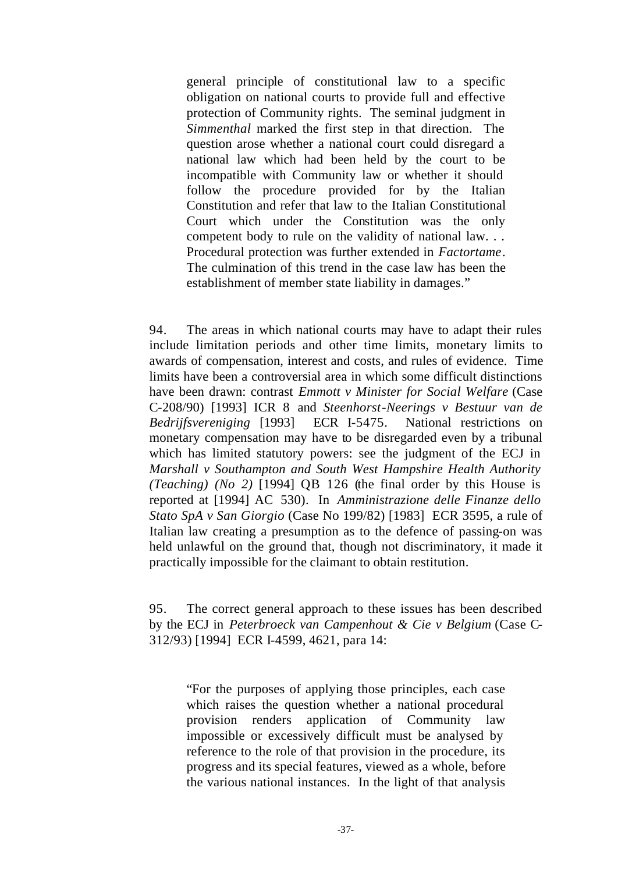general principle of constitutional law to a specific obligation on national courts to provide full and effective protection of Community rights. The seminal judgment in *Simmenthal* marked the first step in that direction. The question arose whether a national court could disregard a national law which had been held by the court to be incompatible with Community law or whether it should follow the procedure provided for by the Italian Constitution and refer that law to the Italian Constitutional Court which under the Constitution was the only competent body to rule on the validity of national law. . . Procedural protection was further extended in *Factortame*. The culmination of this trend in the case law has been the establishment of member state liability in damages."

94. The areas in which national courts may have to adapt their rules include limitation periods and other time limits, monetary limits to awards of compensation, interest and costs, and rules of evidence. Time limits have been a controversial area in which some difficult distinctions have been drawn: contrast *Emmott v Minister for Social Welfare* (Case C-208/90) [1993] ICR 8 and *Steenhorst-Neerings v Bestuur van de Bedrijfsvereniging* [1993] ECR I-5475. National restrictions on monetary compensation may have to be disregarded even by a tribunal which has limited statutory powers: see the judgment of the ECJ in *Marshall v Southampton and South West Hampshire Health Authority (Teaching) (No 2)* [1994] QB 126 (the final order by this House is reported at [1994] AC 530). In *Amministrazione delle Finanze dello Stato SpA v San Giorgio* (Case No 199/82) [1983] ECR 3595, a rule of Italian law creating a presumption as to the defence of passing-on was held unlawful on the ground that, though not discriminatory, it made it practically impossible for the claimant to obtain restitution.

95. The correct general approach to these issues has been described by the ECJ in *Peterbroeck van Campenhout & Cie v Belgium* (Case C-312/93) [1994] ECR I-4599, 4621, para 14:

"For the purposes of applying those principles, each case which raises the question whether a national procedural provision renders application of Community law impossible or excessively difficult must be analysed by reference to the role of that provision in the procedure, its progress and its special features, viewed as a whole, before the various national instances. In the light of that analysis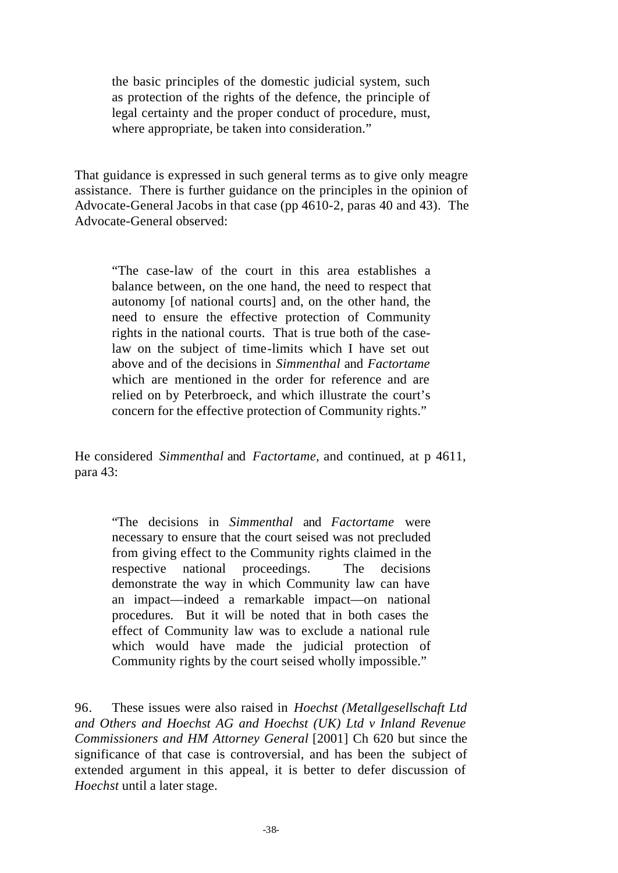the basic principles of the domestic judicial system, such as protection of the rights of the defence, the principle of legal certainty and the proper conduct of procedure, must, where appropriate, be taken into consideration."

That guidance is expressed in such general terms as to give only meagre assistance. There is further guidance on the principles in the opinion of Advocate-General Jacobs in that case (pp 4610-2, paras 40 and 43). The Advocate-General observed:

"The case-law of the court in this area establishes a balance between, on the one hand, the need to respect that autonomy [of national courts] and, on the other hand, the need to ensure the effective protection of Community rights in the national courts. That is true both of the caselaw on the subject of time-limits which I have set out above and of the decisions in *Simmenthal* and *Factortame* which are mentioned in the order for reference and are relied on by Peterbroeck, and which illustrate the court's concern for the effective protection of Community rights."

He considered *Simmenthal* and *Factortame,* and continued, at p 4611, para 43:

"The decisions in *Simmenthal* and *Factortame* were necessary to ensure that the court seised was not precluded from giving effect to the Community rights claimed in the respective national proceedings. The decisions demonstrate the way in which Community law can have an impact—indeed a remarkable impact—on national procedures. But it will be noted that in both cases the effect of Community law was to exclude a national rule which would have made the judicial protection of Community rights by the court seised wholly impossible."

96. These issues were also raised in *Hoechst (Metallgesellschaft Ltd and Others and Hoechst AG and Hoechst (UK) Ltd v Inland Revenue Commissioners and HM Attorney General* [2001] Ch 620 but since the significance of that case is controversial, and has been the subject of extended argument in this appeal, it is better to defer discussion of *Hoechst* until a later stage.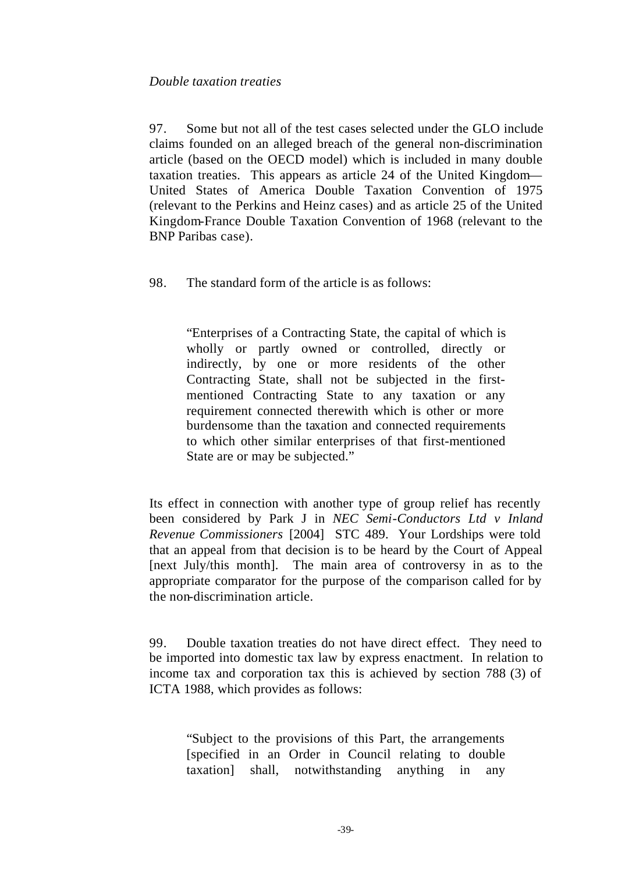# *Double taxation treaties*

97. Some but not all of the test cases selected under the GLO include claims founded on an alleged breach of the general non-discrimination article (based on the OECD model) which is included in many double taxation treaties. This appears as article 24 of the United Kingdom— United States of America Double Taxation Convention of 1975 (relevant to the Perkins and Heinz cases) and as article 25 of the United Kingdom-France Double Taxation Convention of 1968 (relevant to the BNP Paribas case).

98. The standard form of the article is as follows:

"Enterprises of a Contracting State, the capital of which is wholly or partly owned or controlled, directly or indirectly, by one or more residents of the other Contracting State, shall not be subjected in the firstmentioned Contracting State to any taxation or any requirement connected therewith which is other or more burdensome than the taxation and connected requirements to which other similar enterprises of that first-mentioned State are or may be subjected."

Its effect in connection with another type of group relief has recently been considered by Park J in *NEC Semi-Conductors Ltd v Inland Revenue Commissioners* [2004] STC 489. Your Lordships were told that an appeal from that decision is to be heard by the Court of Appeal [next July/this month]. The main area of controversy in as to the appropriate comparator for the purpose of the comparison called for by the non-discrimination article.

99. Double taxation treaties do not have direct effect. They need to be imported into domestic tax law by express enactment. In relation to income tax and corporation tax this is achieved by section 788 (3) of ICTA 1988, which provides as follows:

"Subject to the provisions of this Part, the arrangements [specified in an Order in Council relating to double taxation] shall, notwithstanding anything in any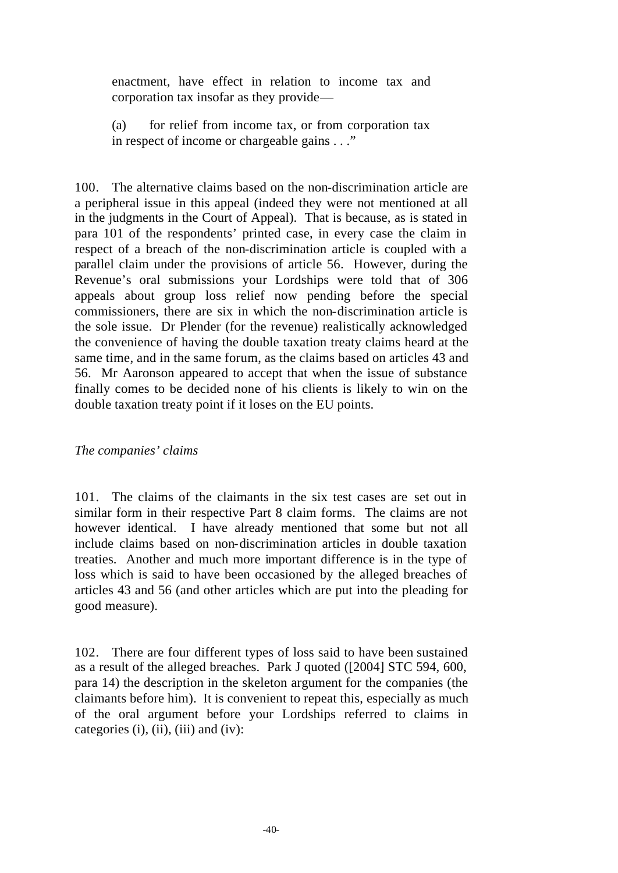enactment, have effect in relation to income tax and corporation tax insofar as they provide—

(a) for relief from income tax, or from corporation tax in respect of income or chargeable gains . . ."

100. The alternative claims based on the non-discrimination article are a peripheral issue in this appeal (indeed they were not mentioned at all in the judgments in the Court of Appeal). That is because, as is stated in para 101 of the respondents' printed case, in every case the claim in respect of a breach of the non-discrimination article is coupled with a parallel claim under the provisions of article 56. However, during the Revenue's oral submissions your Lordships were told that of 306 appeals about group loss relief now pending before the special commissioners, there are six in which the non-discrimination article is the sole issue. Dr Plender (for the revenue) realistically acknowledged the convenience of having the double taxation treaty claims heard at the same time, and in the same forum, as the claims based on articles 43 and 56. Mr Aaronson appeared to accept that when the issue of substance finally comes to be decided none of his clients is likely to win on the double taxation treaty point if it loses on the EU points.

# *The companies' claims*

101. The claims of the claimants in the six test cases are set out in similar form in their respective Part 8 claim forms. The claims are not however identical. I have already mentioned that some but not all include claims based on non-discrimination articles in double taxation treaties. Another and much more important difference is in the type of loss which is said to have been occasioned by the alleged breaches of articles 43 and 56 (and other articles which are put into the pleading for good measure).

102. There are four different types of loss said to have been sustained as a result of the alleged breaches. Park J quoted ([2004] STC 594, 600, para 14) the description in the skeleton argument for the companies (the claimants before him). It is convenient to repeat this, especially as much of the oral argument before your Lordships referred to claims in categories (i), (ii), (iii) and (iv):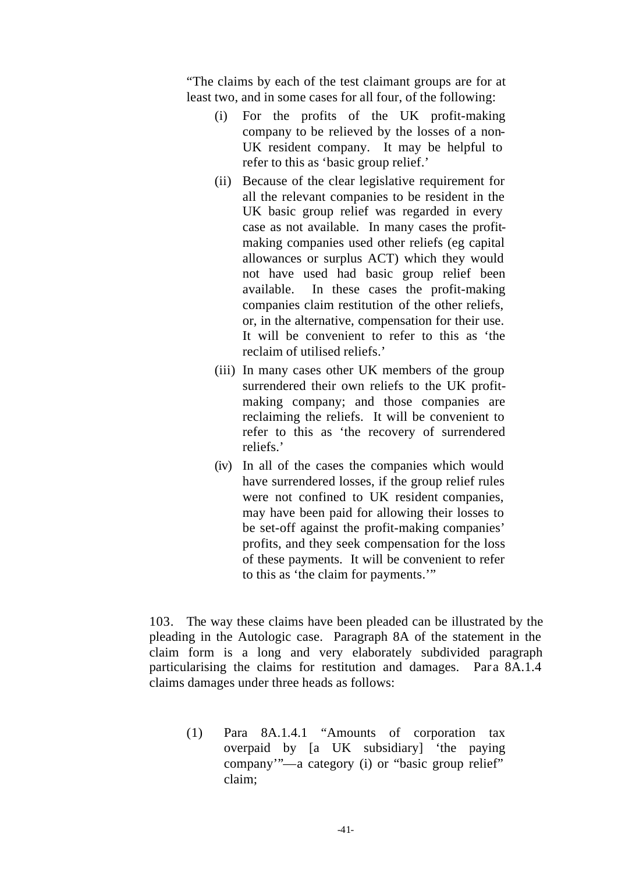"The claims by each of the test claimant groups are for at least two, and in some cases for all four, of the following:

- (i) For the profits of the UK profit-making company to be relieved by the losses of a non-UK resident company. It may be helpful to refer to this as 'basic group relief.'
- (ii) Because of the clear legislative requirement for all the relevant companies to be resident in the UK basic group relief was regarded in every case as not available. In many cases the profitmaking companies used other reliefs (eg capital allowances or surplus ACT) which they would not have used had basic group relief been available. In these cases the profit-making companies claim restitution of the other reliefs, or, in the alternative, compensation for their use. It will be convenient to refer to this as 'the reclaim of utilised reliefs.'
- (iii) In many cases other UK members of the group surrendered their own reliefs to the UK profitmaking company; and those companies are reclaiming the reliefs. It will be convenient to refer to this as 'the recovery of surrendered reliefs.'
- (iv) In all of the cases the companies which would have surrendered losses, if the group relief rules were not confined to UK resident companies, may have been paid for allowing their losses to be set-off against the profit-making companies' profits, and they seek compensation for the loss of these payments. It will be convenient to refer to this as 'the claim for payments.'"

103. The way these claims have been pleaded can be illustrated by the pleading in the Autologic case. Paragraph 8A of the statement in the claim form is a long and very elaborately subdivided paragraph particularising the claims for restitution and damages. Para 8A.1.4 claims damages under three heads as follows:

(1) Para 8A.1.4.1 "Amounts of corporation tax overpaid by [a UK subsidiary] 'the paying company'"—a category (i) or "basic group relief" claim;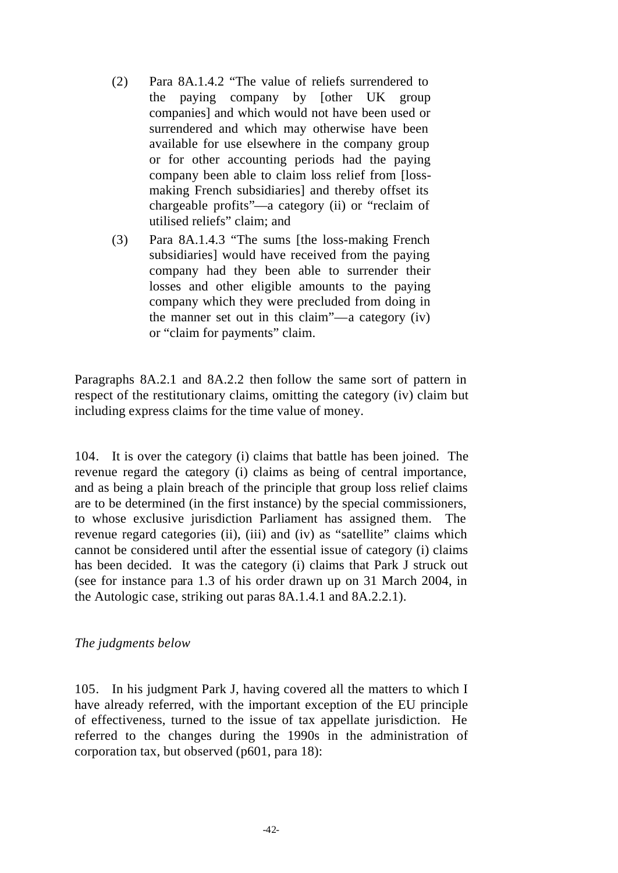- (2) Para 8A.1.4.2 "The value of reliefs surrendered to the paying company by [other UK group companies] and which would not have been used or surrendered and which may otherwise have been available for use elsewhere in the company group or for other accounting periods had the paying company been able to claim loss relief from [lossmaking French subsidiaries] and thereby offset its chargeable profits"—a category (ii) or "reclaim of utilised reliefs" claim; and
- (3) Para 8A.1.4.3 "The sums [the loss-making French subsidiaries] would have received from the paying company had they been able to surrender their losses and other eligible amounts to the paying company which they were precluded from doing in the manner set out in this claim"—a category (iv) or "claim for payments" claim.

Paragraphs 8A.2.1 and 8A.2.2 then follow the same sort of pattern in respect of the restitutionary claims, omitting the category (iv) claim but including express claims for the time value of money.

104. It is over the category (i) claims that battle has been joined. The revenue regard the category (i) claims as being of central importance, and as being a plain breach of the principle that group loss relief claims are to be determined (in the first instance) by the special commissioners, to whose exclusive jurisdiction Parliament has assigned them. The revenue regard categories (ii), (iii) and (iv) as "satellite" claims which cannot be considered until after the essential issue of category (i) claims has been decided. It was the category (i) claims that Park J struck out (see for instance para 1.3 of his order drawn up on 31 March 2004, in the Autologic case, striking out paras 8A.1.4.1 and 8A.2.2.1).

#### *The judgments below*

105. In his judgment Park J, having covered all the matters to which I have already referred, with the important exception of the EU principle of effectiveness, turned to the issue of tax appellate jurisdiction. He referred to the changes during the 1990s in the administration of corporation tax, but observed (p601, para 18):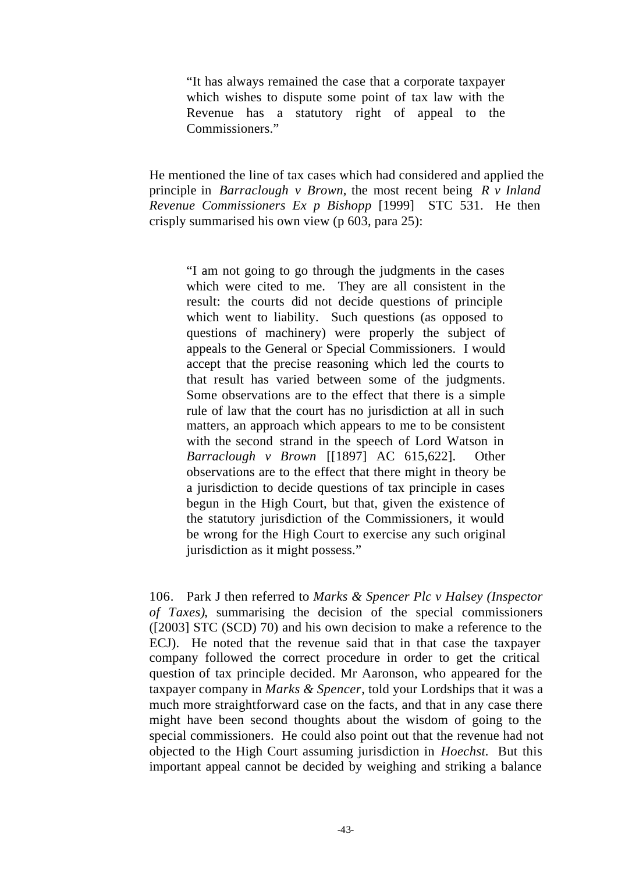"It has always remained the case that a corporate taxpayer which wishes to dispute some point of tax law with the Revenue has a statutory right of appeal to the Commissioners."

He mentioned the line of tax cases which had considered and applied the principle in *Barraclough v Brown,* the most recent being *R v Inland Revenue Commissioners Ex p Bishopp* [1999] STC 531. He then crisply summarised his own view (p 603, para 25):

"I am not going to go through the judgments in the cases which were cited to me. They are all consistent in the result: the courts did not decide questions of principle which went to liability. Such questions (as opposed to questions of machinery) were properly the subject of appeals to the General or Special Commissioners. I would accept that the precise reasoning which led the courts to that result has varied between some of the judgments. Some observations are to the effect that there is a simple rule of law that the court has no jurisdiction at all in such matters, an approach which appears to me to be consistent with the second strand in the speech of Lord Watson in *Barraclough v Brown* [[1897] AC 615,622]. Other observations are to the effect that there might in theory be a jurisdiction to decide questions of tax principle in cases begun in the High Court, but that, given the existence of the statutory jurisdiction of the Commissioners, it would be wrong for the High Court to exercise any such original jurisdiction as it might possess."

106. Park J then referred to *Marks & Spencer Plc v Halsey (Inspector of Taxes)*, summarising the decision of the special commissioners ([2003] STC (SCD) 70) and his own decision to make a reference to the ECJ). He noted that the revenue said that in that case the taxpayer company followed the correct procedure in order to get the critical question of tax principle decided. Mr Aaronson, who appeared for the taxpayer company in *Marks & Spencer*, told your Lordships that it was a much more straightforward case on the facts, and that in any case there might have been second thoughts about the wisdom of going to the special commissioners. He could also point out that the revenue had not objected to the High Court assuming jurisdiction in *Hoechst.* But this important appeal cannot be decided by weighing and striking a balance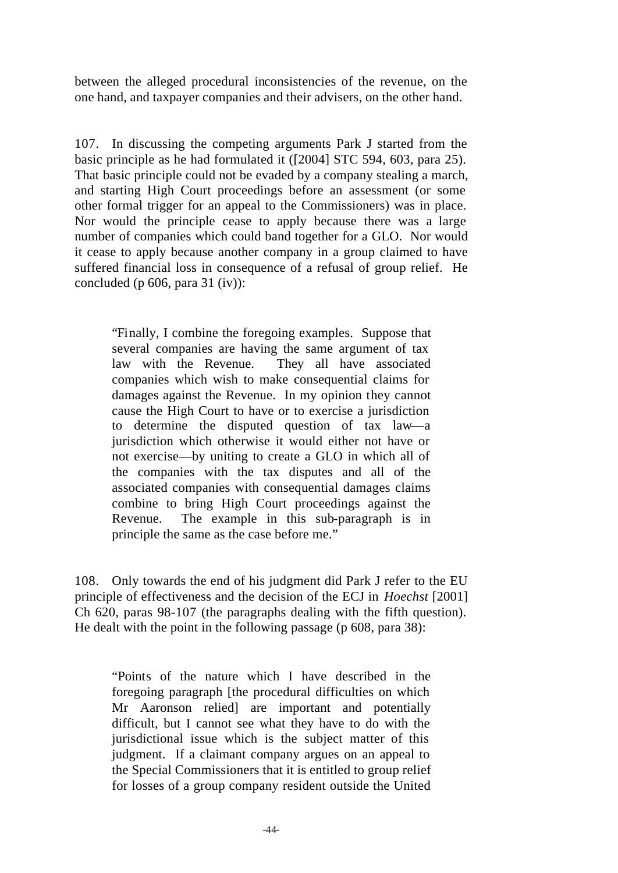between the alleged procedural inconsistencies of the revenue, on the one hand, and taxpayer companies and their advisers, on the other hand.

107. In discussing the competing arguments Park J started from the basic principle as he had formulated it ([2004] STC 594, 603, para 25). That basic principle could not be evaded by a company stealing a march, and starting High Court proceedings before an assessment (or some other formal trigger for an appeal to the Commissioners) was in place. Nor would the principle cease to apply because there was a large number of companies which could band together for a GLO. Nor would it cease to apply because another company in a group claimed to have suffered financial loss in consequence of a refusal of group relief. He concluded (p 606, para 31 (iv)):

"Finally, I combine the foregoing examples. Suppose that several companies are having the same argument of tax law with the Revenue. They all have associated companies which wish to make consequential claims for damages against the Revenue. In my opinion they cannot cause the High Court to have or to exercise a jurisdiction to determine the disputed question of tax law—a jurisdiction which otherwise it would either not have or not exercise—by uniting to create a GLO in which all of the companies with the tax disputes and all of the associated companies with consequential damages claims combine to bring High Court proceedings against the Revenue. The example in this sub-paragraph is in principle the same as the case before me."

108. Only towards the end of his judgment did Park J refer to the EU principle of effectiveness and the decision of the ECJ in *Hoechst* [2001] Ch 620, paras 98-107 (the paragraphs dealing with the fifth question). He dealt with the point in the following passage (p 608, para 38):

"Points of the nature which I have described in the foregoing paragraph [the procedural difficulties on which Mr Aaronson relied] are important and potentially difficult, but I cannot see what they have to do with the jurisdictional issue which is the subject matter of this judgment. If a claimant company argues on an appeal to the Special Commissioners that it is entitled to group relief for losses of a group company resident outside the United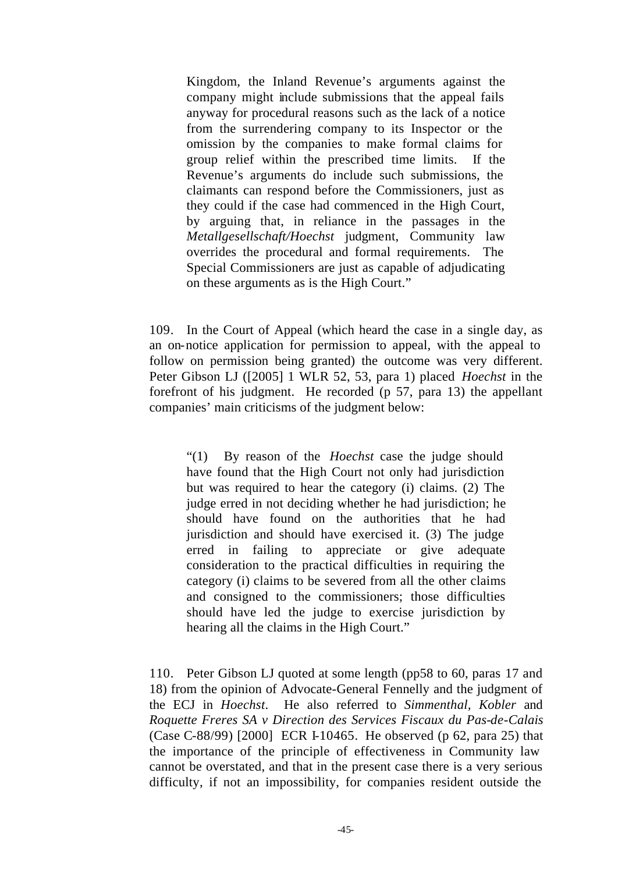Kingdom, the Inland Revenue's arguments against the company might include submissions that the appeal fails anyway for procedural reasons such as the lack of a notice from the surrendering company to its Inspector or the omission by the companies to make formal claims for group relief within the prescribed time limits. If the Revenue's arguments do include such submissions, the claimants can respond before the Commissioners, just as they could if the case had commenced in the High Court, by arguing that, in reliance in the passages in the *Metallgesellschaft/Hoechst* judgment, Community law overrides the procedural and formal requirements. The Special Commissioners are just as capable of adjudicating on these arguments as is the High Court."

109. In the Court of Appeal (which heard the case in a single day, as an on-notice application for permission to appeal, with the appeal to follow on permission being granted) the outcome was very different. Peter Gibson LJ ([2005] 1 WLR 52, 53, para 1) placed *Hoechst* in the forefront of his judgment. He recorded (p 57, para 13) the appellant companies' main criticisms of the judgment below:

"(1) By reason of the *Hoechst* case the judge should have found that the High Court not only had jurisdiction but was required to hear the category (i) claims. (2) The judge erred in not deciding whether he had jurisdiction; he should have found on the authorities that he had jurisdiction and should have exercised it. (3) The judge erred in failing to appreciate or give adequate consideration to the practical difficulties in requiring the category (i) claims to be severed from all the other claims and consigned to the commissioners; those difficulties should have led the judge to exercise jurisdiction by hearing all the claims in the High Court."

110. Peter Gibson LJ quoted at some length (pp58 to 60, paras 17 and 18) from the opinion of Advocate-General Fennelly and the judgment of the ECJ in *Hoechst*. He also referred to *Simmenthal, Kobler* and *Roquette Freres SA v Direction des Services Fiscaux du Pas-de-Calais* (Case C-88/99) [2000] ECR I-10465. He observed (p 62, para 25) that the importance of the principle of effectiveness in Community law cannot be overstated, and that in the present case there is a very serious difficulty, if not an impossibility, for companies resident outside the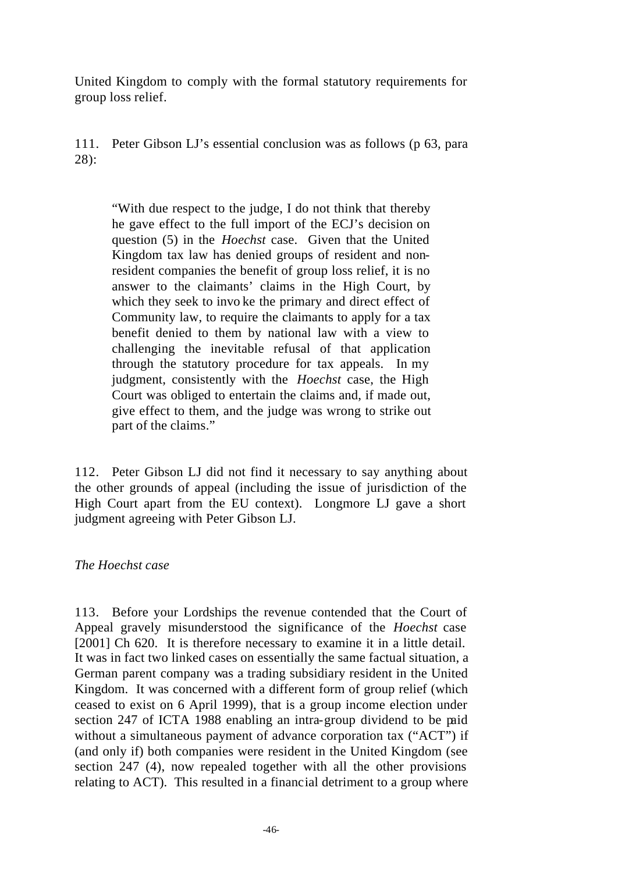United Kingdom to comply with the formal statutory requirements for group loss relief.

111. Peter Gibson LJ's essential conclusion was as follows (p 63, para 28):

"With due respect to the judge, I do not think that thereby he gave effect to the full import of the ECJ's decision on question (5) in the *Hoechst* case. Given that the United Kingdom tax law has denied groups of resident and nonresident companies the benefit of group loss relief, it is no answer to the claimants' claims in the High Court, by which they seek to invo ke the primary and direct effect of Community law, to require the claimants to apply for a tax benefit denied to them by national law with a view to challenging the inevitable refusal of that application through the statutory procedure for tax appeals. In my judgment, consistently with the *Hoechst* case, the High Court was obliged to entertain the claims and, if made out, give effect to them, and the judge was wrong to strike out part of the claims."

112. Peter Gibson LJ did not find it necessary to say anything about the other grounds of appeal (including the issue of jurisdiction of the High Court apart from the EU context). Longmore LJ gave a short judgment agreeing with Peter Gibson LJ.

# *The Hoechst case*

113. Before your Lordships the revenue contended that the Court of Appeal gravely misunderstood the significance of the *Hoechst* case [2001] Ch 620. It is therefore necessary to examine it in a little detail. It was in fact two linked cases on essentially the same factual situation, a German parent company was a trading subsidiary resident in the United Kingdom. It was concerned with a different form of group relief (which ceased to exist on 6 April 1999), that is a group income election under section 247 of ICTA 1988 enabling an intra-group dividend to be paid without a simultaneous payment of advance corporation tax ("ACT") if (and only if) both companies were resident in the United Kingdom (see section 247 (4), now repealed together with all the other provisions relating to ACT). This resulted in a financial detriment to a group where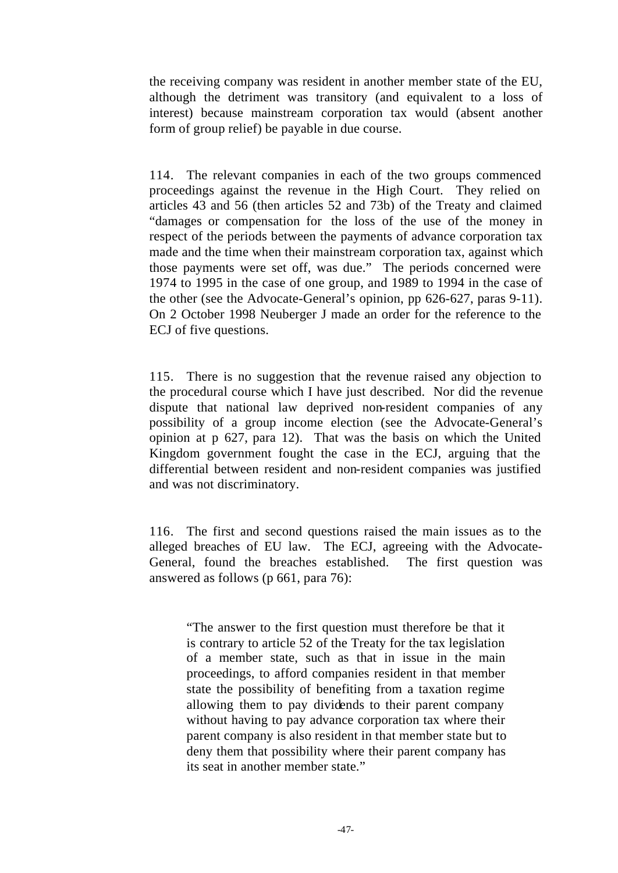the receiving company was resident in another member state of the EU, although the detriment was transitory (and equivalent to a loss of interest) because mainstream corporation tax would (absent another form of group relief) be payable in due course.

114. The relevant companies in each of the two groups commenced proceedings against the revenue in the High Court. They relied on articles 43 and 56 (then articles 52 and 73b) of the Treaty and claimed "damages or compensation for the loss of the use of the money in respect of the periods between the payments of advance corporation tax made and the time when their mainstream corporation tax, against which those payments were set off, was due." The periods concerned were 1974 to 1995 in the case of one group, and 1989 to 1994 in the case of the other (see the Advocate-General's opinion, pp 626-627, paras 9-11). On 2 October 1998 Neuberger J made an order for the reference to the ECJ of five questions.

115. There is no suggestion that the revenue raised any objection to the procedural course which I have just described. Nor did the revenue dispute that national law deprived non-resident companies of any possibility of a group income election (see the Advocate-General's opinion at p 627, para 12). That was the basis on which the United Kingdom government fought the case in the ECJ, arguing that the differential between resident and non-resident companies was justified and was not discriminatory.

116. The first and second questions raised the main issues as to the alleged breaches of EU law. The ECJ, agreeing with the Advocate-General, found the breaches established. The first question was answered as follows (p 661, para 76):

"The answer to the first question must therefore be that it is contrary to article 52 of the Treaty for the tax legislation of a member state, such as that in issue in the main proceedings, to afford companies resident in that member state the possibility of benefiting from a taxation regime allowing them to pay dividends to their parent company without having to pay advance corporation tax where their parent company is also resident in that member state but to deny them that possibility where their parent company has its seat in another member state."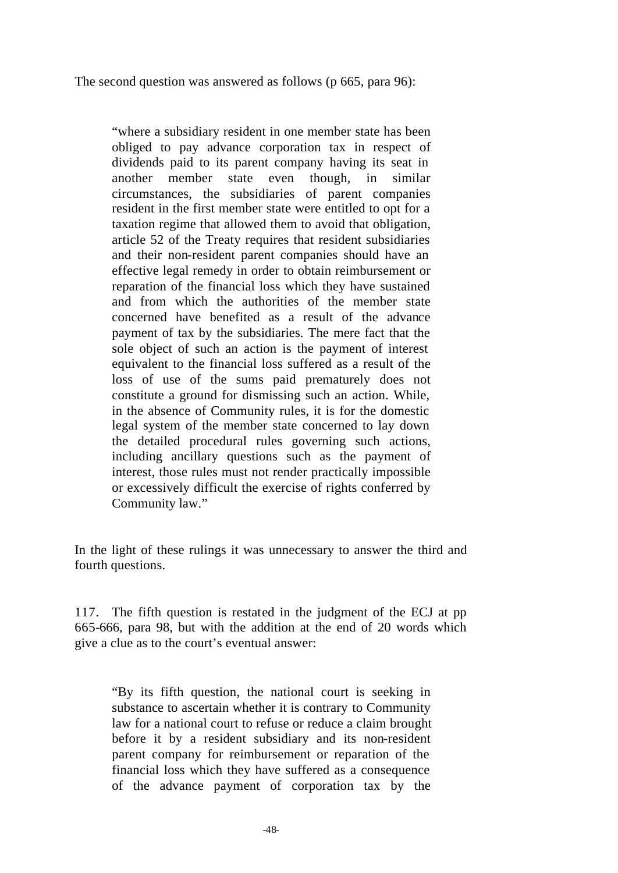The second question was answered as follows (p 665, para 96):

"where a subsidiary resident in one member state has been obliged to pay advance corporation tax in respect of dividends paid to its parent company having its seat in another member state even though, in similar circumstances, the subsidiaries of parent companies resident in the first member state were entitled to opt for a taxation regime that allowed them to avoid that obligation, article 52 of the Treaty requires that resident subsidiaries and their non-resident parent companies should have an effective legal remedy in order to obtain reimbursement or reparation of the financial loss which they have sustained and from which the authorities of the member state concerned have benefited as a result of the advance payment of tax by the subsidiaries. The mere fact that the sole object of such an action is the payment of interest equivalent to the financial loss suffered as a result of the loss of use of the sums paid prematurely does not constitute a ground for dismissing such an action. While, in the absence of Community rules, it is for the domestic legal system of the member state concerned to lay down the detailed procedural rules governing such actions, including ancillary questions such as the payment of interest, those rules must not render practically impossible or excessively difficult the exercise of rights conferred by Community law."

In the light of these rulings it was unnecessary to answer the third and fourth questions.

117. The fifth question is restated in the judgment of the ECJ at pp 665-666, para 98, but with the addition at the end of 20 words which give a clue as to the court's eventual answer:

"By its fifth question, the national court is seeking in substance to ascertain whether it is contrary to Community law for a national court to refuse or reduce a claim brought before it by a resident subsidiary and its non-resident parent company for reimbursement or reparation of the financial loss which they have suffered as a consequence of the advance payment of corporation tax by the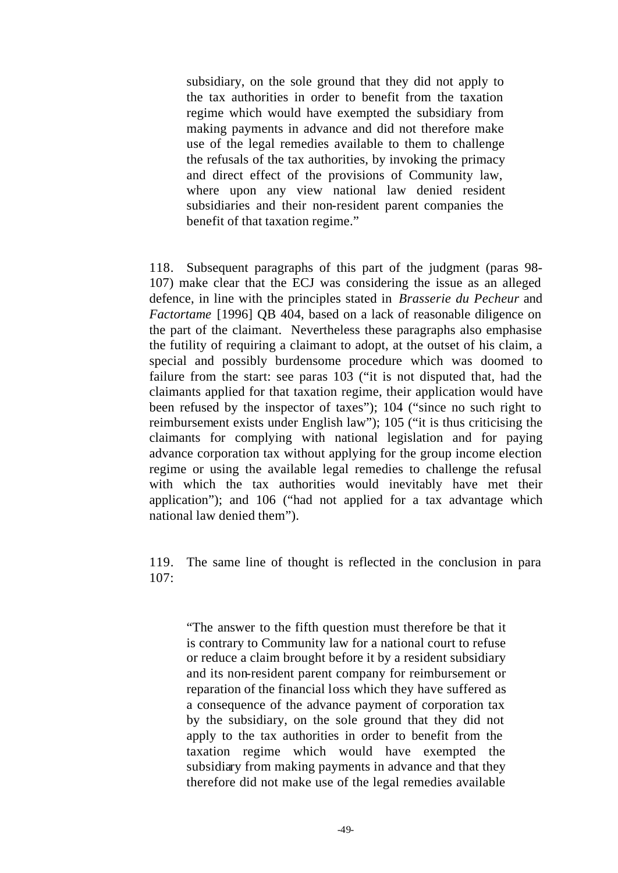subsidiary, on the sole ground that they did not apply to the tax authorities in order to benefit from the taxation regime which would have exempted the subsidiary from making payments in advance and did not therefore make use of the legal remedies available to them to challenge the refusals of the tax authorities, by invoking the primacy and direct effect of the provisions of Community law, where upon any view national law denied resident subsidiaries and their non-resident parent companies the benefit of that taxation regime."

118. Subsequent paragraphs of this part of the judgment (paras 98- 107) make clear that the ECJ was considering the issue as an alleged defence, in line with the principles stated in *Brasserie du Pecheur* and *Factortame* [1996] QB 404, based on a lack of reasonable diligence on the part of the claimant. Nevertheless these paragraphs also emphasise the futility of requiring a claimant to adopt, at the outset of his claim, a special and possibly burdensome procedure which was doomed to failure from the start: see paras 103 ("it is not disputed that, had the claimants applied for that taxation regime, their application would have been refused by the inspector of taxes"); 104 ("since no such right to reimbursement exists under English law"); 105 ("it is thus criticising the claimants for complying with national legislation and for paying advance corporation tax without applying for the group income election regime or using the available legal remedies to challenge the refusal with which the tax authorities would inevitably have met their application"); and 106 ("had not applied for a tax advantage which national law denied them").

119. The same line of thought is reflected in the conclusion in para 107:

"The answer to the fifth question must therefore be that it is contrary to Community law for a national court to refuse or reduce a claim brought before it by a resident subsidiary and its non-resident parent company for reimbursement or reparation of the financial loss which they have suffered as a consequence of the advance payment of corporation tax by the subsidiary, on the sole ground that they did not apply to the tax authorities in order to benefit from the taxation regime which would have exempted the subsidiary from making payments in advance and that they therefore did not make use of the legal remedies available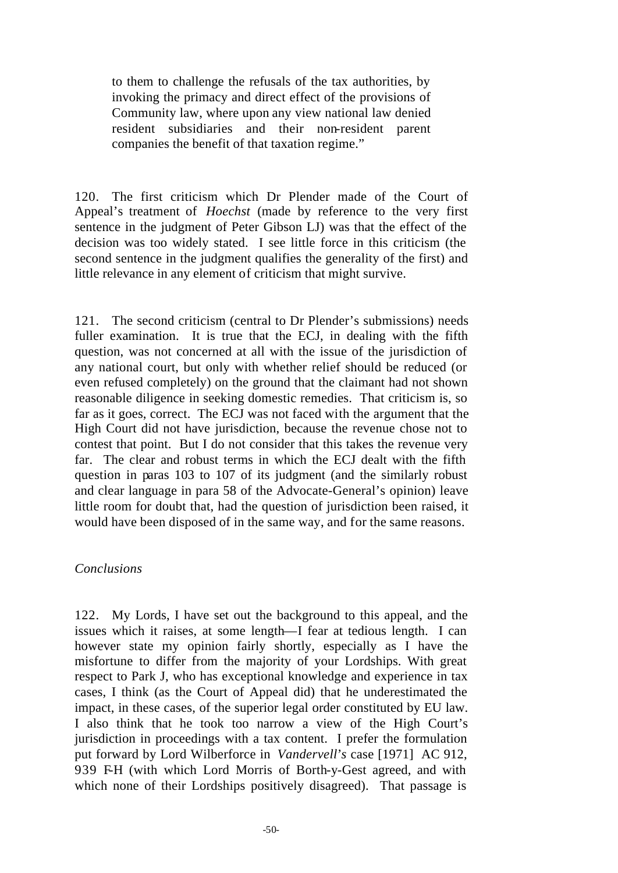to them to challenge the refusals of the tax authorities, by invoking the primacy and direct effect of the provisions of Community law, where upon any view national law denied resident subsidiaries and their non-resident parent companies the benefit of that taxation regime."

120. The first criticism which Dr Plender made of the Court of Appeal's treatment of *Hoechst* (made by reference to the very first sentence in the judgment of Peter Gibson LJ) was that the effect of the decision was too widely stated. I see little force in this criticism (the second sentence in the judgment qualifies the generality of the first) and little relevance in any element of criticism that might survive.

121. The second criticism (central to Dr Plender's submissions) needs fuller examination. It is true that the ECJ, in dealing with the fifth question, was not concerned at all with the issue of the jurisdiction of any national court, but only with whether relief should be reduced (or even refused completely) on the ground that the claimant had not shown reasonable diligence in seeking domestic remedies. That criticism is, so far as it goes, correct. The ECJ was not faced with the argument that the High Court did not have jurisdiction, because the revenue chose not to contest that point. But I do not consider that this takes the revenue very far. The clear and robust terms in which the ECJ dealt with the fifth question in paras 103 to 107 of its judgment (and the similarly robust and clear language in para 58 of the Advocate-General's opinion) leave little room for doubt that, had the question of jurisdiction been raised, it would have been disposed of in the same way, and for the same reasons.

# *Conclusions*

122. My Lords, I have set out the background to this appeal, and the issues which it raises, at some length—I fear at tedious length. I can however state my opinion fairly shortly, especially as I have the misfortune to differ from the majority of your Lordships. With great respect to Park J, who has exceptional knowledge and experience in tax cases, I think (as the Court of Appeal did) that he underestimated the impact, in these cases, of the superior legal order constituted by EU law. I also think that he took too narrow a view of the High Court's jurisdiction in proceedings with a tax content. I prefer the formulation put forward by Lord Wilberforce in *Vandervell*'*s* case [1971] AC 912, 939 FH (with which Lord Morris of Borth-y-Gest agreed, and with which none of their Lordships positively disagreed). That passage is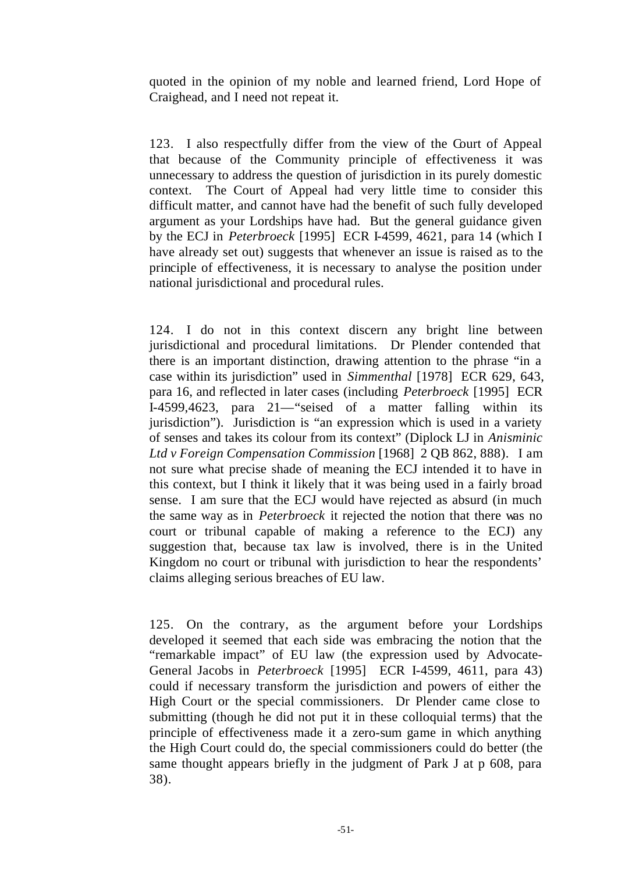quoted in the opinion of my noble and learned friend, Lord Hope of Craighead, and I need not repeat it.

123. I also respectfully differ from the view of the Court of Appeal that because of the Community principle of effectiveness it was unnecessary to address the question of jurisdiction in its purely domestic context. The Court of Appeal had very little time to consider this difficult matter, and cannot have had the benefit of such fully developed argument as your Lordships have had. But the general guidance given by the ECJ in *Peterbroeck* [1995] ECR I-4599, 4621, para 14 (which I have already set out) suggests that whenever an issue is raised as to the principle of effectiveness, it is necessary to analyse the position under national jurisdictional and procedural rules.

124. I do not in this context discern any bright line between jurisdictional and procedural limitations. Dr Plender contended that there is an important distinction, drawing attention to the phrase "in a case within its jurisdiction" used in *Simmenthal* [1978] ECR 629, 643, para 16, and reflected in later cases (including *Peterbroeck* [1995] ECR I-4599,4623, para 21—"seised of a matter falling within its jurisdiction"). Jurisdiction is "an expression which is used in a variety of senses and takes its colour from its context" (Diplock LJ in *Anisminic Ltd v Foreign Compensation Commission* [1968] 2 QB 862, 888). I am not sure what precise shade of meaning the ECJ intended it to have in this context, but I think it likely that it was being used in a fairly broad sense. I am sure that the ECJ would have rejected as absurd (in much the same way as in *Peterbroeck* it rejected the notion that there was no court or tribunal capable of making a reference to the ECJ) any suggestion that, because tax law is involved, there is in the United Kingdom no court or tribunal with jurisdiction to hear the respondents' claims alleging serious breaches of EU law.

125. On the contrary, as the argument before your Lordships developed it seemed that each side was embracing the notion that the "remarkable impact" of EU law (the expression used by Advocate-General Jacobs in *Peterbroeck* [1995] ECR I-4599, 4611, para 43) could if necessary transform the jurisdiction and powers of either the High Court or the special commissioners. Dr Plender came close to submitting (though he did not put it in these colloquial terms) that the principle of effectiveness made it a zero-sum game in which anything the High Court could do, the special commissioners could do better (the same thought appears briefly in the judgment of Park J at p 608, para 38).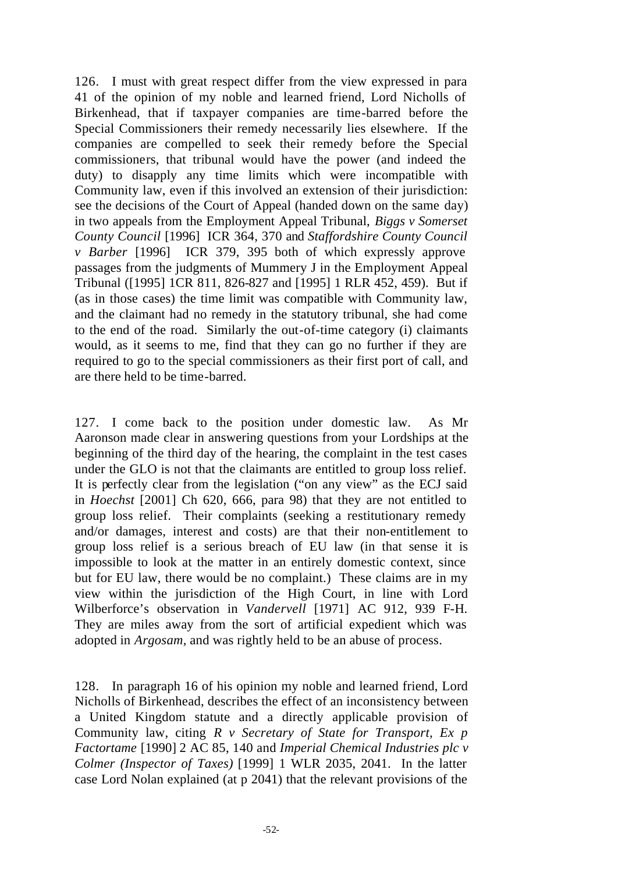126. I must with great respect differ from the view expressed in para 41 of the opinion of my noble and learned friend, Lord Nicholls of Birkenhead, that if taxpayer companies are time-barred before the Special Commissioners their remedy necessarily lies elsewhere. If the companies are compelled to seek their remedy before the Special commissioners, that tribunal would have the power (and indeed the duty) to disapply any time limits which were incompatible with Community law, even if this involved an extension of their jurisdiction: see the decisions of the Court of Appeal (handed down on the same day) in two appeals from the Employment Appeal Tribunal, *Biggs v Somerset County Council* [1996] ICR 364, 370 and *Staffordshire County Council v Barber* [1996] ICR 379, 395 both of which expressly approve passages from the judgments of Mummery J in the Employment Appeal Tribunal ([1995] 1CR 811, 826-827 and [1995] 1 RLR 452, 459). But if (as in those cases) the time limit was compatible with Community law, and the claimant had no remedy in the statutory tribunal, she had come to the end of the road. Similarly the out-of-time category (i) claimants would, as it seems to me, find that they can go no further if they are required to go to the special commissioners as their first port of call, and are there held to be time-barred.

127. I come back to the position under domestic law. As Mr Aaronson made clear in answering questions from your Lordships at the beginning of the third day of the hearing, the complaint in the test cases under the GLO is not that the claimants are entitled to group loss relief. It is perfectly clear from the legislation ("on any view" as the ECJ said in *Hoechst* [2001] Ch 620, 666, para 98) that they are not entitled to group loss relief. Their complaints (seeking a restitutionary remedy and/or damages, interest and costs) are that their non-entitlement to group loss relief is a serious breach of EU law (in that sense it is impossible to look at the matter in an entirely domestic context, since but for EU law, there would be no complaint.) These claims are in my view within the jurisdiction of the High Court, in line with Lord Wilberforce's observation in *Vandervell* [1971] AC 912, 939 F-H. They are miles away from the sort of artificial expedient which was adopted in *Argosam,* and was rightly held to be an abuse of process.

128. In paragraph 16 of his opinion my noble and learned friend, Lord Nicholls of Birkenhead, describes the effect of an inconsistency between a United Kingdom statute and a directly applicable provision of Community law, citing *R v Secretary of State for Transport, Ex p Factortame* [1990] 2 AC 85, 140 and *Imperial Chemical Industries plc v Colmer (Inspector of Taxes)* [1999] 1 WLR 2035, 2041. In the latter case Lord Nolan explained (at p 2041) that the relevant provisions of the